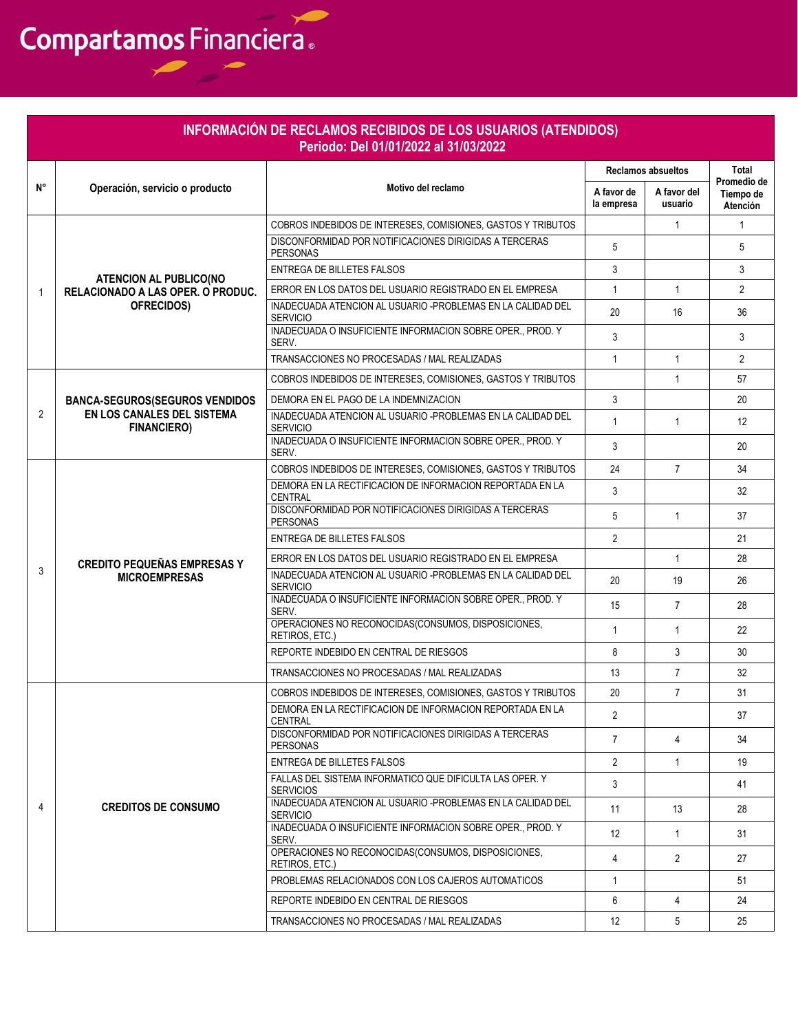|                | INFORMACIÓN DE RECLAMOS RECIBIDOS DE LOS USUARIOS (ATENDIDOS)<br>Periodo: Del 01/01/2022 al 31/03/2022<br>Total |                                                                                |                          |                        |                                      |  |  |  |  |
|----------------|-----------------------------------------------------------------------------------------------------------------|--------------------------------------------------------------------------------|--------------------------|------------------------|--------------------------------------|--|--|--|--|
|                | <b>Reclamos absueltos</b><br>N°<br>Motivo del reclamo                                                           |                                                                                |                          |                        |                                      |  |  |  |  |
|                | Operación, servicio o producto                                                                                  |                                                                                | A favor de<br>la empresa | A favor del<br>usuario | Promedio de<br>Tiempo de<br>Atención |  |  |  |  |
|                | <b>ATENCION AL PUBLICO(NO</b><br>RELACIONADO A LAS OPER. O PRODUC.                                              | COBROS INDEBIDOS DE INTERESES, COMISIONES, GASTOS Y TRIBUTOS                   |                          | $\mathbf{1}$           | $\mathbf{1}$                         |  |  |  |  |
|                |                                                                                                                 | DISCONFORMIDAD POR NOTIFICACIONES DIRIGIDAS A TERCERAS<br><b>PERSONAS</b>      | 5                        |                        | 5                                    |  |  |  |  |
| $\overline{1}$ |                                                                                                                 | ENTREGA DE BILLETES FALSOS                                                     | 3                        |                        | 3                                    |  |  |  |  |
|                |                                                                                                                 | ERROR EN LOS DATOS DEL USUARIO REGISTRADO EN EL EMPRESA                        | $\mathbf{1}$             | $\mathbf{1}$           | $\overline{2}$                       |  |  |  |  |
|                | OFRECIDOS)                                                                                                      | INADECUADA ATENCION AL USUARIO -PROBLEMAS EN LA CALIDAD DEL<br><b>SERVICIO</b> | 20                       | 16                     | 36                                   |  |  |  |  |
|                |                                                                                                                 | INADECUADA O INSUFICIENTE INFORMACION SOBRE OPER., PROD. Y<br>SERV.            | 3                        |                        | 3                                    |  |  |  |  |
|                |                                                                                                                 | TRANSACCIONES NO PROCESADAS / MAL REALIZADAS                                   | $\mathbf{1}$             | $\mathbf{1}$           | $\overline{2}$                       |  |  |  |  |
|                |                                                                                                                 | COBROS INDEBIDOS DE INTERESES, COMISIONES, GASTOS Y TRIBUTOS                   |                          | $\mathbf{1}$           | 57                                   |  |  |  |  |
|                | <b>BANCA-SEGUROS (SEGUROS VENDIDOS</b>                                                                          | DEMORA EN EL PAGO DE LA INDEMNIZACION                                          | 3                        |                        | 20                                   |  |  |  |  |
| $\overline{2}$ | EN LOS CANALES DEL SISTEMA<br><b>FINANCIERO)</b>                                                                | INADECUADA ATENCION AL USUARIO -PROBLEMAS EN LA CALIDAD DEL<br><b>SERVICIO</b> | $\mathbf{1}$             | $\mathbf{1}$           | 12                                   |  |  |  |  |
|                |                                                                                                                 | INADECUADA O INSUFICIENTE INFORMACION SOBRE OPER., PROD. Y<br>SERV.            | 3                        |                        | 20                                   |  |  |  |  |
|                | <b>CREDITO PEQUEÑAS EMPRESAS Y</b>                                                                              | COBROS INDEBIDOS DE INTERESES, COMISIONES, GASTOS Y TRIBUTOS                   | 24                       | $\overline{7}$         | 34                                   |  |  |  |  |
|                |                                                                                                                 | DEMORA EN LA RECTIFICACION DE INFORMACION REPORTADA EN LA<br><b>CENTRAL</b>    | 3                        |                        | 32                                   |  |  |  |  |
|                |                                                                                                                 | DISCONFORMIDAD POR NOTIFICACIONES DIRIGIDAS A TERCERAS<br><b>PERSONAS</b>      | 5                        | $\mathbf{1}$           | 37                                   |  |  |  |  |
|                |                                                                                                                 | ENTREGA DE BILLETES FALSOS                                                     | $\overline{2}$           |                        | 21                                   |  |  |  |  |
|                |                                                                                                                 | ERROR EN LOS DATOS DEL USUARIO REGISTRADO EN EL EMPRESA                        |                          | $\mathbf{1}$           | 28                                   |  |  |  |  |
| 3              | <b>MICROEMPRESAS</b>                                                                                            | INADECUADA ATENCION AL USUARIO -PROBLEMAS EN LA CALIDAD DEL<br><b>SERVICIO</b> | 20                       | 19                     | 26                                   |  |  |  |  |
|                |                                                                                                                 | INADECUADA O INSUFICIENTE INFORMACION SOBRE OPER., PROD. Y<br>SERV.            | 15                       | $\overline{7}$         | 28                                   |  |  |  |  |
|                |                                                                                                                 | OPERACIONES NO RECONOCIDAS(CONSUMOS, DISPOSICIONES,<br>RETIROS, ETC.)          | $\mathbf{1}$             | $\mathbf{1}$           | 22                                   |  |  |  |  |
|                |                                                                                                                 | REPORTE INDEBIDO EN CENTRAL DE RIESGOS                                         | 8                        | 3                      | 30                                   |  |  |  |  |
|                |                                                                                                                 | TRANSACCIONES NO PROCESADAS / MAL REALIZADAS                                   | 13                       | $\overline{7}$         | 32                                   |  |  |  |  |
|                |                                                                                                                 | COBROS INDEBIDOS DE INTERESES, COMISIONES, GASTOS Y TRIBUTOS                   | 20                       | $\overline{7}$         | 31                                   |  |  |  |  |
|                |                                                                                                                 | DEMORA EN LA RECTIFICACION DE INFORMACION REPORTADA EN LA<br><b>CENTRAL</b>    | $\overline{2}$           |                        | 37                                   |  |  |  |  |
|                |                                                                                                                 | DISCONFORMIDAD POR NOTIFICACIONES DIRIGIDAS A TERCERAS<br><b>PERSONAS</b>      | $\overline{7}$           | $\overline{4}$         | 34                                   |  |  |  |  |
|                |                                                                                                                 | ENTREGA DE BILLETES FALSOS                                                     | $\overline{2}$           | $\mathbf{1}$           | 19                                   |  |  |  |  |
|                |                                                                                                                 | FALLAS DEL SISTEMA INFORMATICO QUE DIFICULTA LAS OPER. Y<br><b>SERVICIOS</b>   | 3                        |                        | 41                                   |  |  |  |  |
| 4              | <b>CREDITOS DE CONSUMO</b>                                                                                      | INADECUADA ATENCION AL USUARIO -PROBLEMAS EN LA CALIDAD DEL<br><b>SERVICIO</b> | 11                       | 13                     | 28                                   |  |  |  |  |
|                |                                                                                                                 | INADECUADA O INSUFICIENTE INFORMACION SOBRE OPER., PROD. Y<br>SERV.            | 12                       | $\mathbf{1}$           | 31                                   |  |  |  |  |
|                |                                                                                                                 | OPERACIONES NO RECONOCIDAS(CONSUMOS, DISPOSICIONES,<br>RETIROS, ETC.)          | $\overline{4}$           | $\overline{2}$         | 27                                   |  |  |  |  |
|                |                                                                                                                 | PROBLEMAS RELACIONADOS CON LOS CAJEROS AUTOMATICOS                             | $\mathbf{1}$             |                        | 51                                   |  |  |  |  |
|                |                                                                                                                 | REPORTE INDEBIDO EN CENTRAL DE RIESGOS                                         | 6                        | $\overline{4}$         | 24                                   |  |  |  |  |
|                |                                                                                                                 | TRANSACCIONES NO PROCESADAS / MAL REALIZADAS                                   | 12                       | 5                      | 25                                   |  |  |  |  |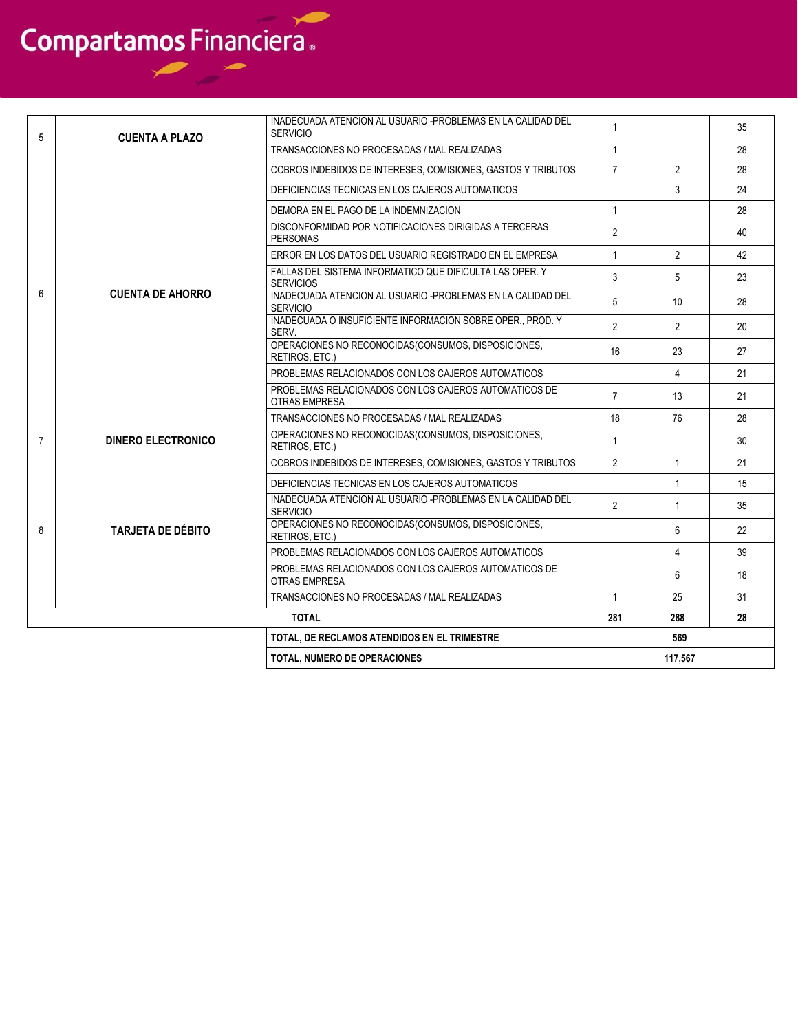| 5                                            | <b>CUENTA A PLAZO</b>                                                                                                                                                                                        | INADECUADA ATENCION AL USUARIO -PROBLEMAS EN LA CALIDAD DEL<br><b>SERVICIO</b> | $\mathbf{1}$   |                | 35 |
|----------------------------------------------|--------------------------------------------------------------------------------------------------------------------------------------------------------------------------------------------------------------|--------------------------------------------------------------------------------|----------------|----------------|----|
|                                              |                                                                                                                                                                                                              | TRANSACCIONES NO PROCESADAS / MAL REALIZADAS                                   | $\mathbf{1}$   |                | 28 |
|                                              |                                                                                                                                                                                                              | COBROS INDEBIDOS DE INTERESES, COMISIONES, GASTOS Y TRIBUTOS                   | $\overline{7}$ | $\overline{2}$ | 28 |
|                                              |                                                                                                                                                                                                              | DEFICIENCIAS TECNICAS EN LOS CAJEROS AUTOMATICOS                               |                | 3              | 24 |
|                                              |                                                                                                                                                                                                              | DEMORA EN EL PAGO DE LA INDEMNIZACION                                          | $\mathbf{1}$   |                | 28 |
|                                              |                                                                                                                                                                                                              | DISCONFORMIDAD POR NOTIFICACIONES DIRIGIDAS A TERCERAS<br><b>PERSONAS</b>      | $\overline{2}$ |                | 40 |
|                                              |                                                                                                                                                                                                              | ERROR EN LOS DATOS DEL USUARIO REGISTRADO EN EL EMPRESA                        | $\mathbf{1}$   | $\overline{2}$ | 42 |
|                                              |                                                                                                                                                                                                              | FALLAS DEL SISTEMA INFORMATICO QUE DIFICULTA LAS OPER. Y<br><b>SERVICIOS</b>   | 3              | 5              | 23 |
| 6                                            | <b>CUENTA DE AHORRO</b>                                                                                                                                                                                      | INADECUADA ATENCION AL USUARIO -PROBLEMAS EN LA CALIDAD DEL<br><b>SERVICIO</b> | 5              | 10             | 28 |
|                                              |                                                                                                                                                                                                              | INADECUADA O INSUFICIENTE INFORMACION SOBRE OPER PROD. Y<br>SERV.              | $\overline{2}$ | $\overline{2}$ | 20 |
|                                              | OPERACIONES NO RECONOCIDAS(CONSUMOS, DISPOSICIONES,<br>RETIROS, ETC.)<br>PROBLEMAS RELACIONADOS CON LOS CAJEROS AUTOMATICOS<br>PROBLEMAS RELACIONADOS CON LOS CAJEROS AUTOMATICOS DE<br><b>OTRAS EMPRESA</b> |                                                                                | 16             | 23             | 27 |
|                                              |                                                                                                                                                                                                              |                                                                                | 4              | 21             |    |
|                                              |                                                                                                                                                                                                              |                                                                                | $\overline{7}$ | 13             | 21 |
|                                              |                                                                                                                                                                                                              | TRANSACCIONES NO PROCESADAS / MAL REALIZADAS                                   | 18             | 76             | 28 |
| $\overline{7}$                               | <b>DINERO ELECTRONICO</b>                                                                                                                                                                                    | OPERACIONES NO RECONOCIDAS(CONSUMOS, DISPOSICIONES,<br>RETIROS, ETC.)          | $\mathbf{1}$   |                | 30 |
|                                              |                                                                                                                                                                                                              | COBROS INDEBIDOS DE INTERESES, COMISIONES, GASTOS Y TRIBUTOS                   | $\overline{2}$ | $\mathbf{1}$   | 21 |
|                                              |                                                                                                                                                                                                              | DEFICIENCIAS TECNICAS EN LOS CAJEROS AUTOMATICOS                               |                | $\mathbf{1}$   | 15 |
|                                              |                                                                                                                                                                                                              | INADECUADA ATENCION AL USUARIO -PROBLEMAS EN LA CALIDAD DEL<br><b>SERVICIO</b> | $\mathfrak{p}$ | $\mathbf{1}$   | 35 |
| 8                                            | <b>TARJETA DE DÉBITO</b>                                                                                                                                                                                     | OPERACIONES NO RECONOCIDAS(CONSUMOS, DISPOSICIONES,<br>RETIROS, ETC.)          |                | 6              | 22 |
|                                              |                                                                                                                                                                                                              | PROBLEMAS RELACIONADOS CON LOS CAJEROS AUTOMATICOS                             |                | 4              | 39 |
|                                              |                                                                                                                                                                                                              | PROBLEMAS RELACIONADOS CON LOS CAJEROS AUTOMATICOS DE<br><b>OTRAS EMPRESA</b>  |                | 6              | 18 |
|                                              |                                                                                                                                                                                                              | TRANSACCIONES NO PROCESADAS / MAL REALIZADAS                                   | $\mathbf{1}$   | 25             | 31 |
|                                              |                                                                                                                                                                                                              | <b>TOTAL</b>                                                                   | 281            | 288            | 28 |
| TOTAL. DE RECLAMOS ATENDIDOS EN EL TRIMESTRE |                                                                                                                                                                                                              |                                                                                | 569            |                |    |
|                                              |                                                                                                                                                                                                              | <b>TOTAL. NUMERO DE OPERACIONES</b>                                            |                | 117.567        |    |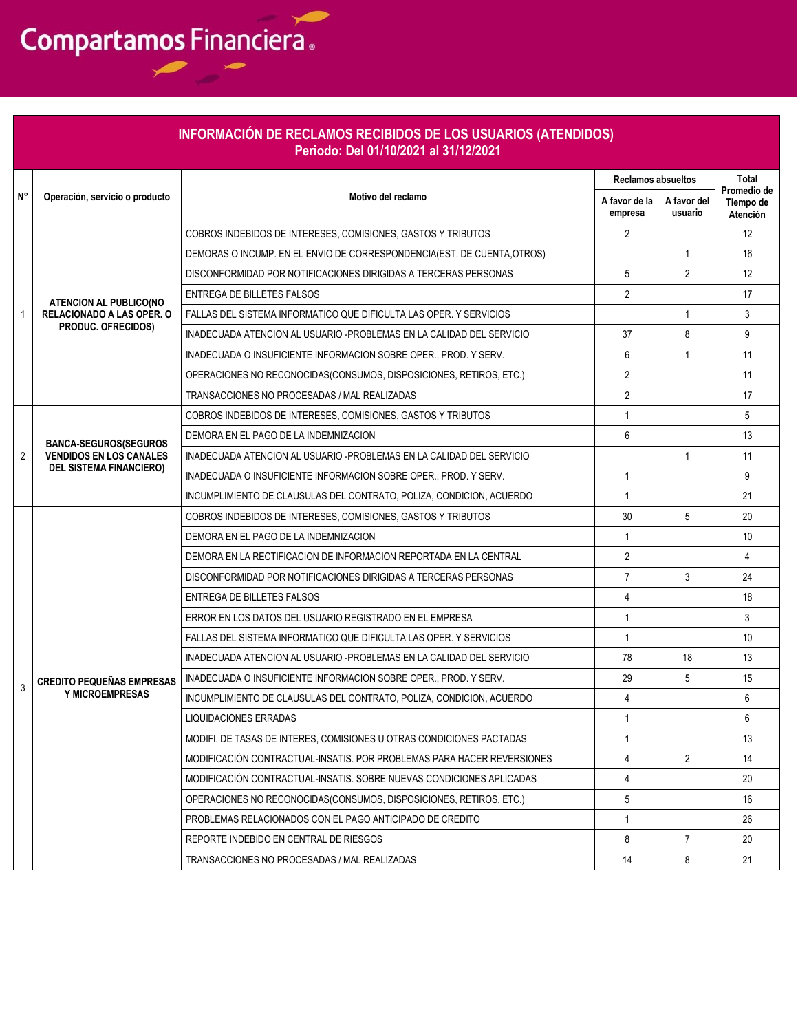|              |                                                                  | INFORMACIÓN DE RECLAMOS RECIBIDOS DE LOS USUARIOS (ATENDIDOS)<br>Periodo: Del 01/10/2021 al 31/12/2021 |                          |                                                     |                      |
|--------------|------------------------------------------------------------------|--------------------------------------------------------------------------------------------------------|--------------------------|-----------------------------------------------------|----------------------|
|              |                                                                  |                                                                                                        |                          |                                                     | Total<br>Promedio de |
| N°           | Operación, servicio o producto                                   | Motivo del reclamo                                                                                     | A favor de la<br>empresa | <b>Reclamos absueltos</b><br>A favor del<br>usuario |                      |
|              |                                                                  | COBROS INDEBIDOS DE INTERESES, COMISIONES, GASTOS Y TRIBUTOS                                           | $\overline{2}$           |                                                     | 12                   |
|              |                                                                  | DEMORAS O INCUMP. EN EL ENVIO DE CORRESPONDENCIA(EST. DE CUENTA OTROS)                                 |                          | $\mathbf{1}$                                        | 16                   |
|              |                                                                  | DISCONFORMIDAD POR NOTIFICACIONES DIRIGIDAS A TERCERAS PERSONAS                                        | 5                        | $\overline{2}$                                      | 12                   |
|              | <b>ATENCION AL PUBLICO(NO</b>                                    | <b>ENTREGA DE BILLETES FALSOS</b>                                                                      | $\overline{2}$           |                                                     | 17                   |
| $\mathbf{1}$ | RELACIONADO A LAS OPER. O                                        | FALLAS DEL SISTEMA INFORMATICO QUE DIFICULTA LAS OPER. Y SERVICIOS                                     |                          | $\mathbf{1}$                                        | 3                    |
|              | <b>PRODUC. OFRECIDOS)</b>                                        | INADECUADA ATENCION AL USUARIO -PROBLEMAS EN LA CALIDAD DEL SERVICIO                                   | 37                       | 8                                                   | 9                    |
|              |                                                                  | INADECUADA O INSUFICIENTE INFORMACION SOBRE OPER., PROD. Y SERV.                                       | 6                        | $\mathbf{1}$                                        | 11                   |
|              |                                                                  | OPERACIONES NO RECONOCIDAS (CONSUMOS, DISPOSICIONES, RETIROS, ETC.)                                    | $\overline{2}$           |                                                     | 11                   |
|              |                                                                  | TRANSACCIONES NO PROCESADAS / MAL REALIZADAS                                                           | $\overline{2}$           |                                                     | 17                   |
|              |                                                                  | COBROS INDEBIDOS DE INTERESES, COMISIONES, GASTOS Y TRIBUTOS                                           | 1                        |                                                     | 5                    |
|              | <b>BANCA-SEGUROS(SEGUROS</b>                                     | DEMORA EN EL PAGO DE LA INDEMNIZACION                                                                  | 6                        |                                                     | 13                   |
| 2            | <b>VENDIDOS EN LOS CANALES</b><br><b>DEL SISTEMA FINANCIERO)</b> | INADECUADA ATENCION AL USUARIO -PROBLEMAS EN LA CALIDAD DEL SERVICIO                                   |                          | $\overline{1}$                                      | 11                   |
|              |                                                                  | INADECUADA O INSUFICIENTE INFORMACION SOBRE OPER., PROD. Y SERV.                                       | 1                        |                                                     | 9                    |
|              |                                                                  | INCUMPLIMIENTO DE CLAUSULAS DEL CONTRATO, POLIZA, CONDICION, ACUERDO                                   | 1                        |                                                     | 21                   |
|              |                                                                  | COBROS INDEBIDOS DE INTERESES, COMISIONES, GASTOS Y TRIBUTOS                                           | 30                       | 5                                                   | 20                   |
|              |                                                                  | DEMORA EN EL PAGO DE LA INDEMNIZACION                                                                  | 1                        |                                                     | 10                   |
|              |                                                                  | DEMORA EN LA RECTIFICACION DE INFORMACION REPORTADA EN LA CENTRAL                                      | $\overline{2}$           |                                                     | 4                    |
|              |                                                                  | DISCONFORMIDAD POR NOTIFICACIONES DIRIGIDAS A TERCERAS PERSONAS                                        | $\overline{7}$           | 3                                                   | 24                   |
|              |                                                                  | ENTREGA DE BILLETES FALSOS                                                                             | 4                        |                                                     | 18                   |
|              |                                                                  | ERROR EN LOS DATOS DEL USUARIO REGISTRADO EN EL EMPRESA                                                | $\mathbf{1}$             |                                                     | 3                    |
|              |                                                                  | FALLAS DEL SISTEMA INFORMATICO QUE DIFICULTA LAS OPER. Y SERVICIOS                                     | 1                        |                                                     | 10                   |
|              |                                                                  | INADECUADA ATENCION AL USUARIO -PROBLEMAS EN LA CALIDAD DEL SERVICIO                                   | 78                       | 18                                                  | 13                   |
| 3            | <b>CREDITO PEQUEÑAS EMPRESAS</b>                                 | INADECUADA O INSUFICIENTE INFORMACION SOBRE OPER., PROD. Y SERV.                                       | 29                       | 5                                                   | 15                   |
|              | Y MICROEMPRESAS                                                  | INCUMPLIMIENTO DE CLAUSULAS DEL CONTRATO, POLIZA, CONDICION, ACUERDO                                   | 4                        |                                                     | 6                    |
|              |                                                                  | <b>LIQUIDACIONES ERRADAS</b>                                                                           | $\mathbf{1}$             |                                                     | 6                    |
|              |                                                                  | MODIFI. DE TASAS DE INTERES, COMISIONES U OTRAS CONDICIONES PACTADAS                                   | $\mathbf{1}$             |                                                     | 13                   |
|              |                                                                  | MODIFICACIÓN CONTRACTUAL-INSATIS, POR PROBLEMAS PARA HACER REVERSIONES                                 | 4                        | $\overline{2}$                                      | 14                   |
|              |                                                                  | MODIFICACIÓN CONTRACTUAL-INSATIS. SOBRE NUEVAS CONDICIONES APLICADAS                                   | 4                        |                                                     | 20                   |
|              |                                                                  | OPERACIONES NO RECONOCIDAS(CONSUMOS, DISPOSICIONES, RETIROS, ETC.)                                     | 5                        |                                                     | 16                   |
|              |                                                                  | PROBLEMAS RELACIONADOS CON EL PAGO ANTICIPADO DE CREDITO                                               | 1                        |                                                     | 26                   |
|              |                                                                  | REPORTE INDEBIDO EN CENTRAL DE RIESGOS                                                                 | 8                        | $\overline{7}$                                      | 20                   |
|              |                                                                  | TRANSACCIONES NO PROCESADAS / MAL REALIZADAS                                                           | 14                       | 8                                                   | 21                   |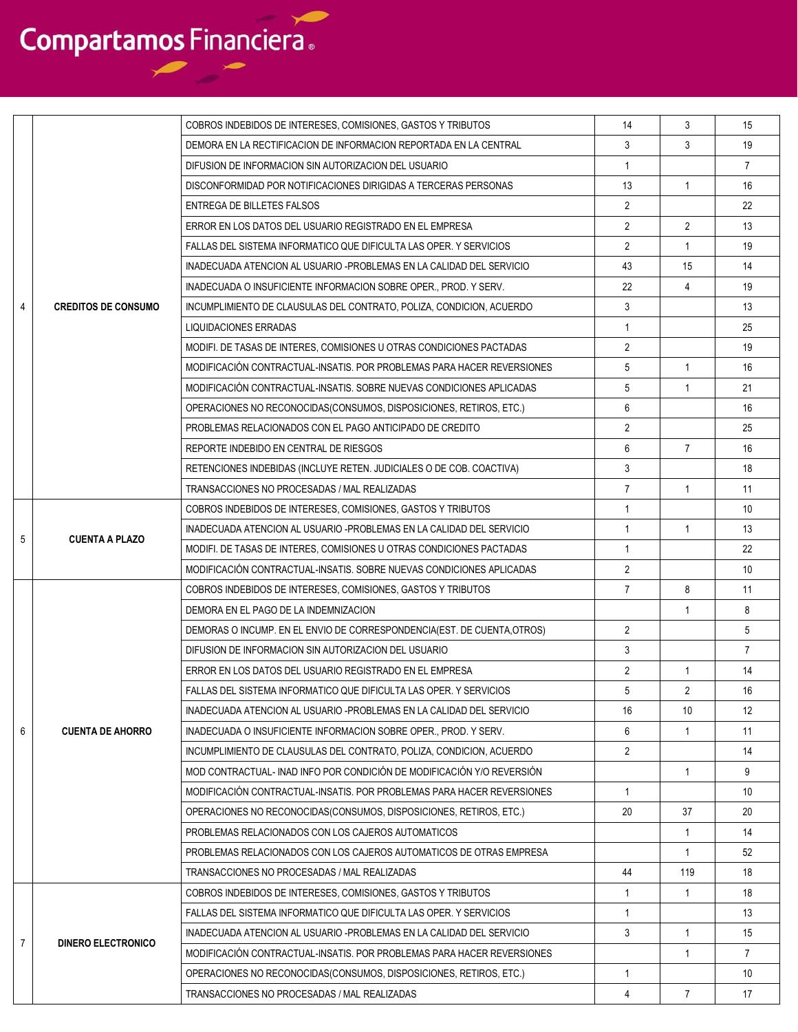|   |                            | COBROS INDEBIDOS DE INTERESES, COMISIONES, GASTOS Y TRIBUTOS            | 14             | 3              | 15              |
|---|----------------------------|-------------------------------------------------------------------------|----------------|----------------|-----------------|
|   |                            | DEMORA EN LA RECTIFICACION DE INFORMACION REPORTADA EN LA CENTRAL       | 3              | 3              | 19              |
|   |                            | DIFUSION DE INFORMACION SIN AUTORIZACION DEL USUARIO                    | -1             |                | $\overline{7}$  |
|   |                            | DISCONFORMIDAD POR NOTIFICACIONES DIRIGIDAS A TERCERAS PERSONAS         | 13             | $\mathbf{1}$   | 16              |
|   |                            | ENTREGA DE BILLETES FALSOS                                              | $\overline{2}$ |                | 22              |
|   |                            | ERROR EN LOS DATOS DEL USUARIO REGISTRADO EN EL EMPRESA                 | $\overline{2}$ | 2              | 13              |
|   |                            | FALLAS DEL SISTEMA INFORMATICO QUE DIFICULTA LAS OPER. Y SERVICIOS      | $\overline{2}$ | $\mathbf{1}$   | 19              |
|   |                            | INADECUADA ATENCION AL USUARIO -PROBLEMAS EN LA CALIDAD DEL SERVICIO    | 43             | 15             | 14              |
|   |                            | INADECUADA O INSUFICIENTE INFORMACION SOBRE OPER., PROD. Y SERV.        | 22             | $\overline{4}$ | 19              |
| 4 | <b>CREDITOS DE CONSUMO</b> | INCUMPLIMIENTO DE CLAUSULAS DEL CONTRATO, POLIZA, CONDICION, ACUERDO    | 3              |                | 13              |
|   |                            | <b>LIQUIDACIONES ERRADAS</b>                                            | $\mathbf{1}$   |                | 25              |
|   |                            | MODIFI. DE TASAS DE INTERES, COMISIONES U OTRAS CONDICIONES PACTADAS    | $\overline{2}$ |                | 19              |
|   |                            | MODIFICACIÓN CONTRACTUAL-INSATIS. POR PROBLEMAS PARA HACER REVERSIONES  | 5              | $\mathbf{1}$   | 16              |
|   |                            | MODIFICACIÓN CONTRACTUAL-INSATIS, SOBRE NUEVAS CONDICIONES APLICADAS    | 5              | $\mathbf{1}$   | 21              |
|   |                            | OPERACIONES NO RECONOCIDAS (CONSUMOS, DISPOSICIONES, RETIROS, ETC.)     | 6              |                | 16              |
|   |                            | PROBLEMAS RELACIONADOS CON EL PAGO ANTICIPADO DE CREDITO                | 2              |                | 25              |
|   |                            | REPORTE INDEBIDO EN CENTRAL DE RIESGOS                                  | 6              | $\overline{7}$ | 16              |
|   |                            | RETENCIONES INDEBIDAS (INCLUYE RETEN. JUDICIALES O DE COB. COACTIVA)    | 3              |                | 18              |
|   |                            | TRANSACCIONES NO PROCESADAS / MAL REALIZADAS                            | $\overline{7}$ | $\mathbf{1}$   | 11              |
|   |                            | COBROS INDEBIDOS DE INTERESES, COMISIONES, GASTOS Y TRIBUTOS            | $\overline{1}$ |                | 10 <sup>°</sup> |
|   |                            | INADECUADA ATENCION AL USUARIO -PROBLEMAS EN LA CALIDAD DEL SERVICIO    | $\overline{1}$ | $\mathbf{1}$   | 13              |
| 5 | <b>CUENTA A PLAZO</b>      | MODIFI. DE TASAS DE INTERES, COMISIONES U OTRAS CONDICIONES PACTADAS    | $\overline{1}$ |                | 22              |
|   |                            | MODIFICACIÓN CONTRACTUAL-INSATIS, SOBRE NUEVAS CONDICIONES APLICADAS    | $\overline{2}$ |                | 10 <sup>1</sup> |
|   |                            | COBROS INDEBIDOS DE INTERESES, COMISIONES, GASTOS Y TRIBUTOS            | $\overline{7}$ | 8              | 11              |
|   |                            | DEMORA EN EL PAGO DE LA INDEMNIZACION                                   |                | 1              | 8               |
|   |                            | DEMORAS O INCUMP. EN EL ENVIO DE CORRESPONDENCIA(EST. DE CUENTA, OTROS) | $\overline{2}$ |                | 5               |
|   |                            | DIFUSION DE INFORMACION SIN AUTORIZACION DEL USUARIO                    | 3              |                | $\overline{7}$  |
|   |                            | ERROR EN LOS DATOS DEL USUARIO REGISTRADO EN EL EMPRESA                 | 2              | $\mathbf{1}$   | 14              |
|   |                            | FALLAS DEL SISTEMA INFORMATICO QUE DIFICULTA LAS OPER. Y SERVICIOS      | 5              | $\overline{2}$ | 16              |
|   |                            | INADECUADA ATENCION AL USUARIO -PROBLEMAS EN LA CALIDAD DEL SERVICIO    | 16             | 10             | 12              |
| 6 | <b>CUENTA DE AHORRO</b>    | INADECUADA O INSUFICIENTE INFORMACION SOBRE OPER., PROD. Y SERV.        | 6              | $\mathbf{1}$   | 11              |
|   |                            | INCUMPLIMIENTO DE CLAUSULAS DEL CONTRATO, POLIZA, CONDICION, ACUERDO    | 2              |                | 14              |
|   |                            | MOD CONTRACTUAL- INAD INFO POR CONDICIÓN DE MODIFICACIÓN Y/O REVERSIÓN  |                | $\mathbf{1}$   | 9               |
|   |                            | MODIFICACIÓN CONTRACTUAL-INSATIS, POR PROBLEMAS PARA HACER REVERSIONES  | $\mathbf{1}$   |                | 10              |
|   |                            | OPERACIONES NO RECONOCIDAS (CONSUMOS, DISPOSICIONES, RETIROS, ETC.)     | 20             | 37             | 20              |
|   |                            | PROBLEMAS RELACIONADOS CON LOS CAJEROS AUTOMATICOS                      |                | $\mathbf{1}$   | 14              |
|   |                            | PROBLEMAS RELACIONADOS CON LOS CAJEROS AUTOMATICOS DE OTRAS EMPRESA     |                | 1              | 52              |
|   |                            | TRANSACCIONES NO PROCESADAS / MAL REALIZADAS                            | 44             | 119            | 18              |
|   |                            | COBROS INDEBIDOS DE INTERESES, COMISIONES, GASTOS Y TRIBUTOS            | $\mathbf{1}$   | $\mathbf{1}$   | 18              |
|   |                            | FALLAS DEL SISTEMA INFORMATICO QUE DIFICULTA LAS OPER. Y SERVICIOS      | $\mathbf{1}$   |                | 13              |
|   |                            | INADECUADA ATENCION AL USUARIO -PROBLEMAS EN LA CALIDAD DEL SERVICIO    | 3              | $\mathbf{1}$   | 15              |
| 7 | <b>DINERO ELECTRONICO</b>  | MODIFICACIÓN CONTRACTUAL-INSATIS, POR PROBLEMAS PARA HACER REVERSIONES  |                | 1              | $\overline{7}$  |
|   |                            | OPERACIONES NO RECONOCIDAS (CONSUMOS, DISPOSICIONES, RETIROS, ETC.)     | $\mathbf{1}$   |                | 10              |
|   |                            | TRANSACCIONES NO PROCESADAS / MAL REALIZADAS                            | 4              | $\overline{7}$ | 17              |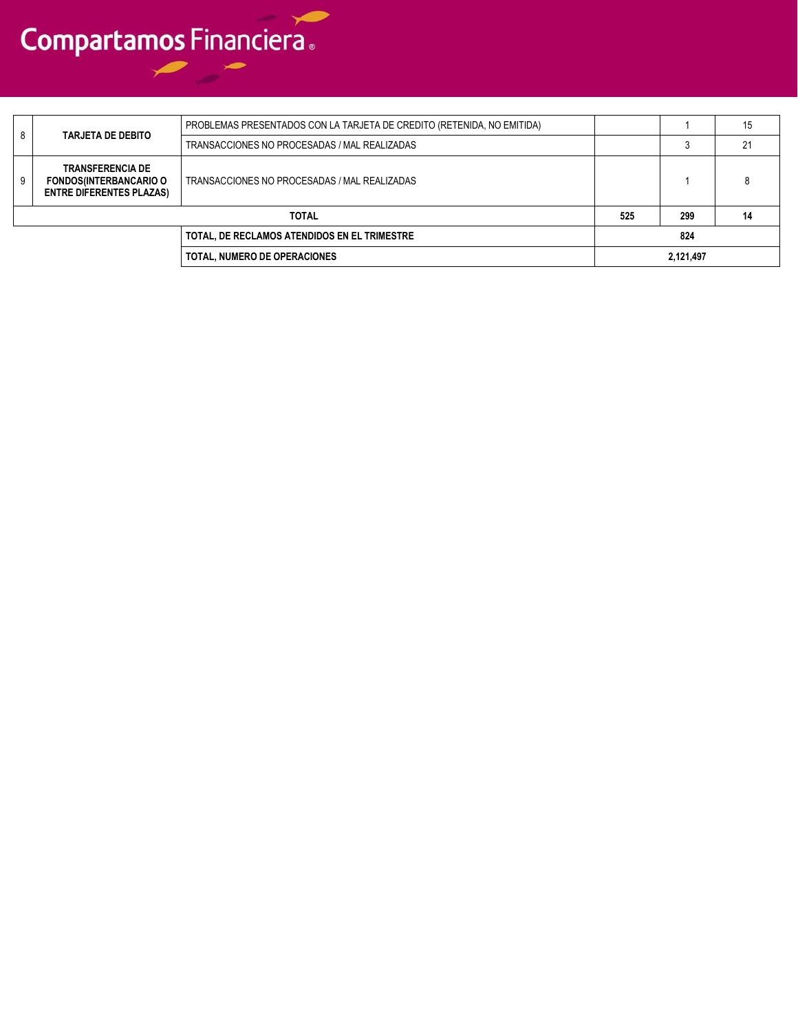| 8 |                                                                                             | PROBLEMAS PRESENTADOS CON LA TARJETA DE CREDITO (RETENIDA, NO EMITIDA) |     |           | 15 |
|---|---------------------------------------------------------------------------------------------|------------------------------------------------------------------------|-----|-----------|----|
|   | <b>TARJETA DE DEBITO</b>                                                                    | TRANSACCIONES NO PROCESADAS / MAL REALIZADAS                           |     |           |    |
| 9 | <b>TRANSFERENCIA DE</b><br><b>FONDOS(INTERBANCARIO O</b><br><b>ENTRE DIFERENTES PLAZAS)</b> | TRANSACCIONES NO PROCESADAS / MAL REALIZADAS                           |     |           |    |
|   | <b>TOTAL</b>                                                                                |                                                                        | 525 | 299       | 14 |
|   |                                                                                             | TOTAL, DE RECLAMOS ATENDIDOS EN EL TRIMESTRE                           |     | 824       |    |
|   |                                                                                             | TOTAL. NUMERO DE OPERACIONES                                           |     | 2,121,497 |    |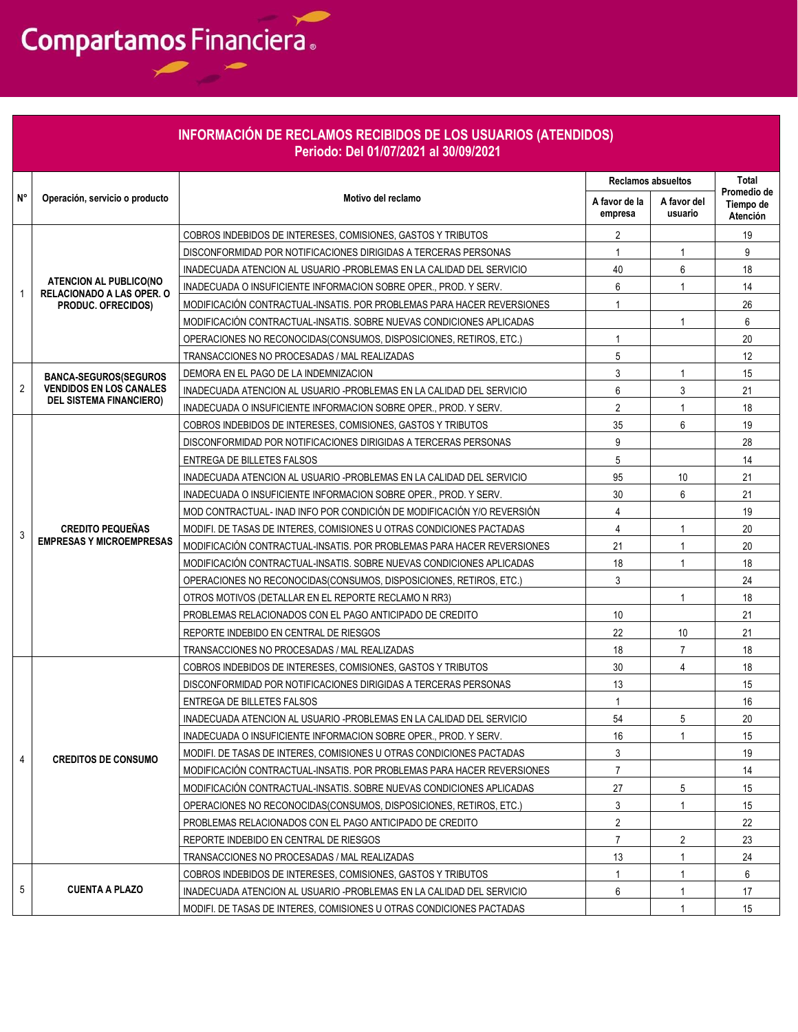|    |                                                                   | <b>INFORMACIÓN DE RECLAMOS RECIBIDOS DE LOS USUARIOS (ATENDIDOS)</b><br>Periodo: Del 01/07/2021 al 30/09/2021 |                           |                        |                                      |
|----|-------------------------------------------------------------------|---------------------------------------------------------------------------------------------------------------|---------------------------|------------------------|--------------------------------------|
|    |                                                                   |                                                                                                               | <b>Reclamos absueltos</b> |                        | Total                                |
| N° | Operación, servicio o producto                                    | Motivo del reclamo                                                                                            | A favor de la<br>empresa  | A favor del<br>usuario | Promedio de<br>Tiempo de<br>Atención |
|    |                                                                   | COBROS INDEBIDOS DE INTERESES, COMISIONES, GASTOS Y TRIBUTOS                                                  | $\overline{2}$            |                        | 19                                   |
|    |                                                                   | DISCONFORMIDAD POR NOTIFICACIONES DIRIGIDAS A TERCERAS PERSONAS                                               | 1                         | 1                      | 9                                    |
|    |                                                                   | INADECUADA ATENCION AL USUARIO -PROBLEMAS EN LA CALIDAD DEL SERVICIO                                          | 40                        | 6                      | 18                                   |
| 1  | <b>ATENCION AL PUBLICO(NO</b><br><b>RELACIONADO A LAS OPER. O</b> | INADECUADA O INSUFICIENTE INFORMACION SOBRE OPER., PROD. Y SERV.                                              | 6                         | $\mathbf{1}$           | 14                                   |
|    | PRODUC. OFRECIDOS)                                                | MODIFICACIÓN CONTRACTUAL-INSATIS. POR PROBLEMAS PARA HACER REVERSIONES                                        | $\mathbf{1}$              |                        | 26                                   |
|    |                                                                   | MODIFICACIÓN CONTRACTUAL-INSATIS. SOBRE NUEVAS CONDICIONES APLICADAS                                          |                           | $\mathbf{1}$           | 6                                    |
|    |                                                                   | OPERACIONES NO RECONOCIDAS(CONSUMOS, DISPOSICIONES, RETIROS, ETC.)                                            | 1                         |                        | 20                                   |
|    |                                                                   | TRANSACCIONES NO PROCESADAS / MAL REALIZADAS                                                                  | 5                         |                        | 12                                   |
|    | <b>BANCA-SEGUROS(SEGUROS</b>                                      | DEMORA EN EL PAGO DE LA INDEMNIZACION                                                                         | 3                         | $\mathbf{1}$           | 15                                   |
| 2  | <b>VENDIDOS EN LOS CANALES</b>                                    | INADECUADA ATENCION AL USUARIO -PROBLEMAS EN LA CALIDAD DEL SERVICIO                                          | 6                         | 3                      | 21                                   |
|    | <b>DEL SISTEMA FINANCIERO)</b>                                    | INADECUADA O INSUFICIENTE INFORMACION SOBRE OPER., PROD. Y SERV.                                              | $\overline{2}$            | $\mathbf{1}$           | 18                                   |
|    |                                                                   | COBROS INDEBIDOS DE INTERESES. COMISIONES. GASTOS Y TRIBUTOS                                                  | 35                        | 6                      | 19                                   |
|    |                                                                   | DISCONFORMIDAD POR NOTIFICACIONES DIRIGIDAS A TERCERAS PERSONAS                                               | 9                         |                        | 28                                   |
|    | <b>CREDITO PEQUEÑAS</b><br><b>EMPRESAS Y MICROEMPRESAS</b>        | <b>ENTREGA DE BILLETES FALSOS</b>                                                                             | 5                         |                        | 14                                   |
|    |                                                                   | INADECUADA ATENCION AL USUARIO - PROBLEMAS EN LA CALIDAD DEL SERVICIO                                         | 95                        | 10                     | 21                                   |
|    |                                                                   | INADECUADA O INSUFICIENTE INFORMACION SOBRE OPER., PROD. Y SERV.                                              | 30                        | 6                      | 21                                   |
|    |                                                                   | MOD CONTRACTUAL- INAD INFO POR CONDICIÓN DE MODIFICACIÓN Y/O REVERSIÓN                                        | 4                         |                        | 19                                   |
| 3  |                                                                   | MODIFI. DE TASAS DE INTERES, COMISIONES U OTRAS CONDICIONES PACTADAS                                          | 4                         | 1                      | 20                                   |
|    |                                                                   | MODIFICACIÓN CONTRACTUAL-INSATIS. POR PROBLEMAS PARA HACER REVERSIONES                                        | 21                        | $\mathbf{1}$           | 20                                   |
|    |                                                                   | MODIFICACIÓN CONTRACTUAL-INSATIS. SOBRE NUEVAS CONDICIONES APLICADAS                                          | 18                        | $\mathbf 1$            | 18                                   |
|    |                                                                   | OPERACIONES NO RECONOCIDAS(CONSUMOS, DISPOSICIONES, RETIROS, ETC.)                                            | 3                         |                        | 24                                   |
|    |                                                                   | OTROS MOTIVOS (DETALLAR EN EL REPORTE RECLAMO N RR3)                                                          |                           | $\mathbf{1}$           | 18                                   |
|    |                                                                   | PROBLEMAS RELACIONADOS CON EL PAGO ANTICIPADO DE CREDITO                                                      | 10                        |                        | 21                                   |
|    |                                                                   | REPORTE INDEBIDO EN CENTRAL DE RIESGOS                                                                        | 22                        | 10                     | 21                                   |
|    |                                                                   | TRANSACCIONES NO PROCESADAS / MAL REALIZADAS                                                                  | 18                        | $\overline{7}$         | 18                                   |
|    |                                                                   | COBROS INDEBIDOS DE INTERESES, COMISIONES, GASTOS Y TRIBUTOS                                                  | 30                        | 4                      | 18                                   |
|    |                                                                   | DISCONFORMIDAD POR NOTIFICACIONES DIRIGIDAS A TERCERAS PERSONAS                                               | 13                        |                        | 15                                   |
|    |                                                                   | ENTREGA DE BILLETES FALSOS                                                                                    | $\mathbf{1}$              |                        | 16                                   |
|    |                                                                   | INADECUADA ATENCION AL USUARIO -PROBLEMAS EN LA CALIDAD DEL SERVICIO                                          | 54                        | 5                      | 20                                   |
|    |                                                                   | INADECUADA O INSUFICIENTE INFORMACION SOBRE OPER., PROD. Y SERV.                                              | 16                        | $\mathbf{1}$           | 15                                   |
| 4  | <b>CREDITOS DE CONSUMO</b>                                        | MODIFI. DE TASAS DE INTERES, COMISIONES U OTRAS CONDICIONES PACTADAS                                          | 3                         |                        | 19                                   |
|    |                                                                   | MODIFICACIÓN CONTRACTUAL-INSATIS. POR PROBLEMAS PARA HACER REVERSIONES                                        | $\overline{7}$            |                        | 14                                   |
|    |                                                                   | MODIFICACIÓN CONTRACTUAL-INSATIS. SOBRE NUEVAS CONDICIONES APLICADAS                                          | 27                        | 5                      | 15                                   |
|    |                                                                   | OPERACIONES NO RECONOCIDAS(CONSUMOS, DISPOSICIONES, RETIROS, ETC.)                                            | 3                         | $\overline{1}$         | 15                                   |
|    |                                                                   | PROBLEMAS RELACIONADOS CON EL PAGO ANTICIPADO DE CREDITO                                                      | $\overline{2}$            |                        | 22                                   |
|    |                                                                   | REPORTE INDEBIDO EN CENTRAL DE RIESGOS                                                                        | $\overline{7}$            | 2                      | 23                                   |
|    |                                                                   | TRANSACCIONES NO PROCESADAS / MAL REALIZADAS                                                                  | 13                        | $\mathbf{1}$           | 24                                   |
|    |                                                                   | COBROS INDEBIDOS DE INTERESES, COMISIONES, GASTOS Y TRIBUTOS                                                  | $\mathbf{1}$              | $\mathbf{1}$           | 6                                    |
| 5  | <b>CUENTA A PLAZO</b>                                             | INADECUADA ATENCION AL USUARIO -PROBLEMAS EN LA CALIDAD DEL SERVICIO                                          | 6                         |                        | 17                                   |
|    |                                                                   | MODIFI. DE TASAS DE INTERES, COMISIONES U OTRAS CONDICIONES PACTADAS                                          |                           | $\mathbf{1}$           | 15                                   |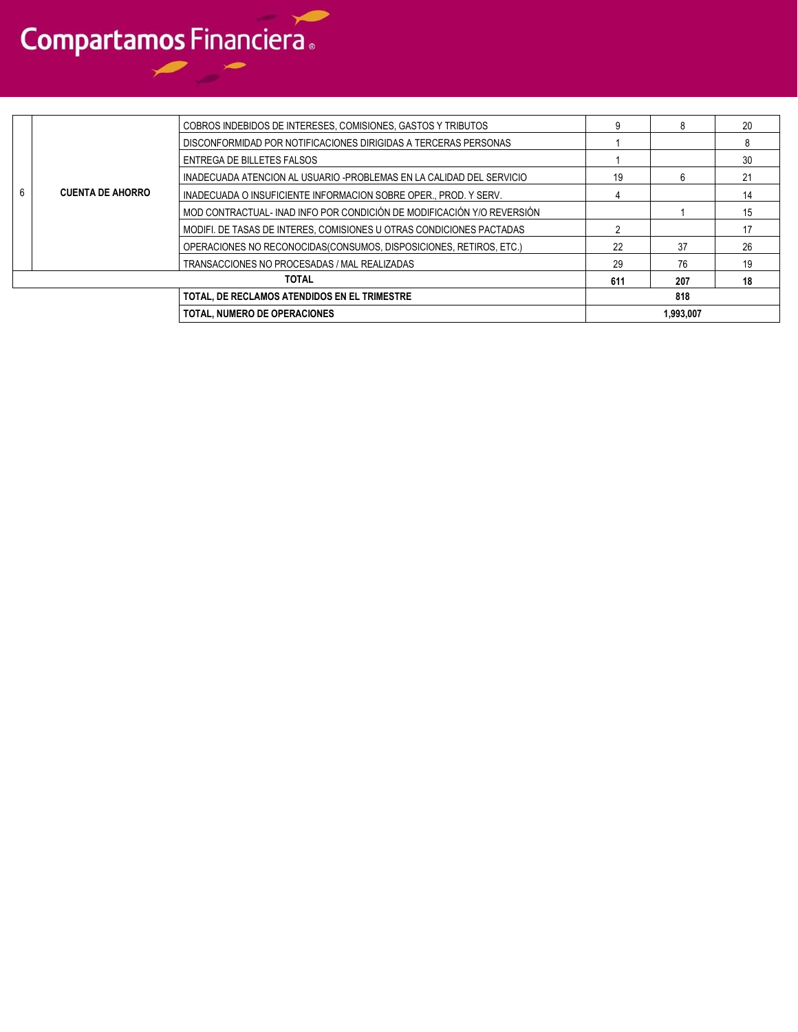|   |                                                                                                                                 | <b>TOTAL, NUMERO DE OPERACIONES</b>                                    |     | 1.993.007 |    |
|---|---------------------------------------------------------------------------------------------------------------------------------|------------------------------------------------------------------------|-----|-----------|----|
|   |                                                                                                                                 | TOTAL, DE RECLAMOS ATENDIDOS EN EL TRIMESTRE                           |     | 818       |    |
|   |                                                                                                                                 | <b>TOTAL</b>                                                           | 611 | 207       | 18 |
|   |                                                                                                                                 | TRANSACCIONES NO PROCESADAS / MAL REALIZADAS                           | 29  | 76        | 19 |
|   |                                                                                                                                 | OPERACIONES NO RECONOCIDAS (CONSUMOS, DISPOSICIONES, RETIROS, ETC.)    | 22  | 37        | 26 |
|   |                                                                                                                                 | MODIFI. DE TASAS DE INTERES, COMISIONES U OTRAS CONDICIONES PACTADAS   |     |           | 17 |
|   |                                                                                                                                 | MOD CONTRACTUAL- INAD INFO POR CONDICIÓN DE MODIFICACIÓN Y/O REVERSIÓN |     |           | 15 |
| 6 | <b>CUENTA DE AHORRO</b>                                                                                                         | INADECUADA O INSUFICIENTE INFORMACION SOBRE OPER., PROD. Y SERV.       |     |           | 14 |
|   |                                                                                                                                 | INADECUADA ATENCION AL USUARIO -PROBLEMAS EN LA CALIDAD DEL SERVICIO   | 19  | 6         | 21 |
|   |                                                                                                                                 | ENTREGA DE BILLETES FALSOS                                             |     |           | 30 |
|   | COBROS INDEBIDOS DE INTERESES, COMISIONES, GASTOS Y TRIBUTOS<br>DISCONFORMIDAD POR NOTIFICACIONES DIRIGIDAS A TERCERAS PERSONAS |                                                                        |     |           | 8  |
|   |                                                                                                                                 |                                                                        |     | 20        |    |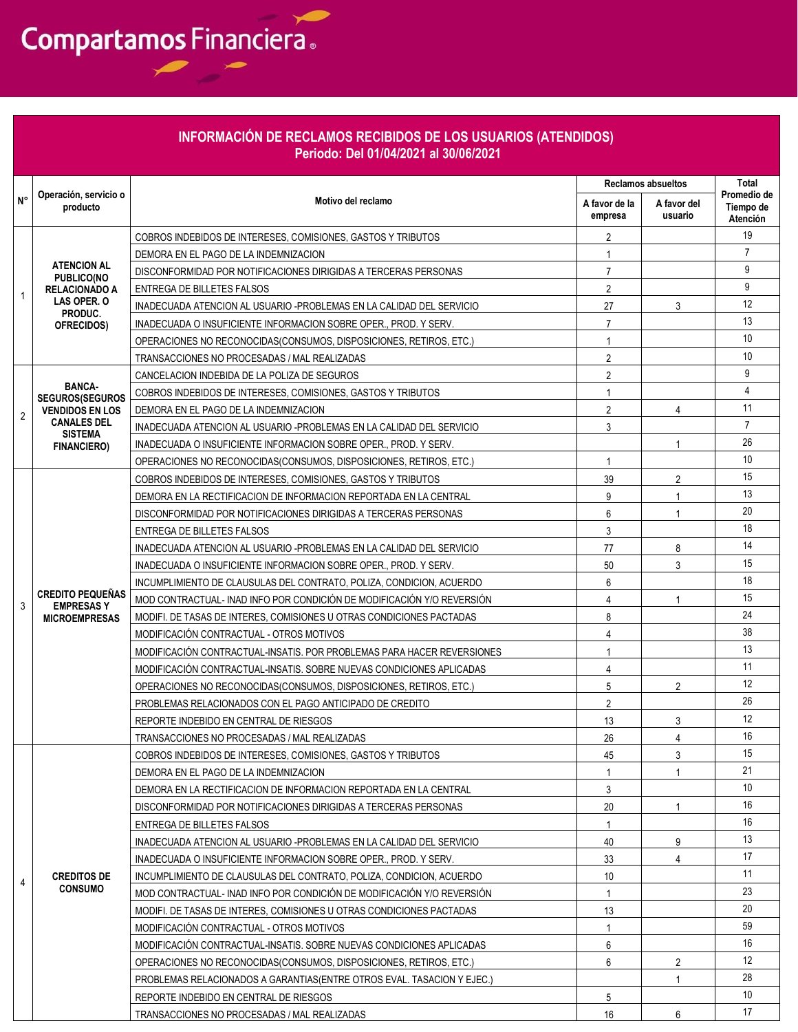### **INFORMACIÓN DE RECLAMOS RECIBIDOS DE LOS USUARIOS (ATENDIDOS) Periodo: Del 01/04/2021 al 30/06/2021**

|                          |                                                                 |                                                                         | <b>Reclamos absueltos</b> |                | Total                        |
|--------------------------|-----------------------------------------------------------------|-------------------------------------------------------------------------|---------------------------|----------------|------------------------------|
| N°                       | Operación, servicio o                                           | Motivo del reclamo                                                      | A favor de la             | A favor del    | Promedio de                  |
|                          | producto                                                        |                                                                         | empresa                   | usuario        | Tiempo de<br><b>Atención</b> |
|                          |                                                                 | COBROS INDEBIDOS DE INTERESES. COMISIONES. GASTOS Y TRIBUTOS            | 2                         |                | 19                           |
|                          |                                                                 | DEMORA EN EL PAGO DE LA INDEMNIZACION                                   | 1                         |                | $\overline{7}$               |
|                          | <b>ATENCION AL</b><br><b>PUBLICO(NO</b><br><b>RELACIONADO A</b> | DISCONFORMIDAD POR NOTIFICACIONES DIRIGIDAS A TERCERAS PERSONAS         | $\overline{7}$            |                | 9                            |
|                          |                                                                 | ENTREGA DE BILLETES FALSOS                                              | $\overline{2}$            |                | 9                            |
|                          | LAS OPER. O                                                     | INADECUADA ATENCION AL USUARIO -PROBLEMAS EN LA CALIDAD DEL SERVICIO    | 27                        | 3              | 12                           |
|                          | PRODUC.<br>OFRECIDOS)                                           | INADECUADA O INSUFICIENTE INFORMACION SOBRE OPER PROD. Y SERV.          | $\overline{7}$            |                | 13                           |
| $\overline{2}$<br>3<br>4 |                                                                 | OPERACIONES NO RECONOCIDAS (CONSUMOS, DISPOSICIONES, RETIROS, ETC.)     | $\mathbf{1}$              |                | 10                           |
|                          |                                                                 | TRANSACCIONES NO PROCESADAS / MAL REALIZADAS                            | $\overline{2}$            |                | 10                           |
|                          |                                                                 | CANCELACION INDEBIDA DE LA POLIZA DE SEGUROS                            | 2                         |                | 9                            |
|                          | <b>BANCA-</b><br><b>SEGUROS(SEGUROS</b>                         | COBROS INDEBIDOS DE INTERESES, COMISIONES, GASTOS Y TRIBUTOS            | 1                         |                | $\overline{4}$               |
|                          | <b>VENDIDOS EN LOS</b>                                          | DEMORA EN EL PAGO DE LA INDEMNIZACION                                   | $\overline{2}$            | 4              | 11                           |
|                          | <b>CANALES DEL</b>                                              | INADECUADA ATENCION AL USUARIO -PROBLEMAS EN LA CALIDAD DEL SERVICIO    | 3                         |                | $\overline{7}$               |
|                          | <b>SISTEMA</b><br><b>FINANCIERO)</b>                            | INADECUADA O INSUFICIENTE INFORMACION SOBRE OPER., PROD. Y SERV.        |                           | -1             | 26                           |
|                          |                                                                 | OPERACIONES NO RECONOCIDAS(CONSUMOS, DISPOSICIONES, RETIROS, ETC.)      | 1                         |                | 10                           |
|                          |                                                                 | COBROS INDEBIDOS DE INTERESES, COMISIONES, GASTOS Y TRIBUTOS            | 39                        | 2              | 15                           |
|                          |                                                                 | DEMORA EN LA RECTIFICACION DE INFORMACION REPORTADA EN LA CENTRAL       | 9                         | $\mathbf{1}$   | 13                           |
|                          |                                                                 | DISCONFORMIDAD POR NOTIFICACIONES DIRIGIDAS A TERCERAS PERSONAS         | 6                         | $\overline{1}$ | 20                           |
|                          |                                                                 | ENTREGA DE BILLETES FALSOS                                              | 3                         |                | 18                           |
|                          |                                                                 | INADECUADA ATENCION AL USUARIO -PROBLEMAS EN LA CALIDAD DEL SERVICIO    | 77                        | 8              | 14                           |
|                          |                                                                 | INADECUADA O INSUFICIENTE INFORMACION SOBRE OPER., PROD. Y SERV.        | 50                        | 3              | 15                           |
|                          |                                                                 | INCUMPLIMIENTO DE CLAUSULAS DEL CONTRATO, POLIZA, CONDICION, ACUERDO    | 6                         |                | 18                           |
|                          | <b>CREDITO PEQUEÑAS</b><br><b>EMPRESASY</b>                     | MOD CONTRACTUAL- INAD INFO POR CONDICIÓN DE MODIFICACIÓN Y/O REVERSIÓN  | $\overline{4}$            | $\overline{1}$ | 15                           |
|                          | <b>MICROEMPRESAS</b>                                            | MODIFI. DE TASAS DE INTERES, COMISIONES U OTRAS CONDICIONES PACTADAS    | 8                         |                | 24                           |
|                          |                                                                 | MODIFICACIÓN CONTRACTUAL - OTROS MOTIVOS                                | 4                         |                | 38                           |
|                          |                                                                 | MODIFICACIÓN CONTRACTUAL-INSATIS. POR PROBLEMAS PARA HACER REVERSIONES  | $\mathbf{1}$              |                | 13                           |
|                          |                                                                 | MODIFICACIÓN CONTRACTUAL-INSATIS, SOBRE NUEVAS CONDICIONES APLICADAS    | 4                         |                | 11                           |
|                          |                                                                 | OPERACIONES NO RECONOCIDAS (CONSUMOS, DISPOSICIONES, RETIROS, ETC.)     | 5                         | 2              | 12                           |
|                          |                                                                 | PROBLEMAS RELACIONADOS CON EL PAGO ANTICIPADO DE CREDITO                | $\overline{2}$            |                | 26                           |
|                          |                                                                 | REPORTE INDEBIDO EN CENTRAL DE RIESGOS                                  | 13                        | 3              | 12                           |
|                          |                                                                 | TRANSACCIONES NO PROCESADAS / MAL REALIZADAS                            | 26                        | 4              | 16                           |
|                          |                                                                 | COBROS INDEBIDOS DE INTERESES. COMISIONES. GASTOS Y TRIBUTOS            | 45                        | 3              | 15                           |
|                          |                                                                 | DEMORA EN EL PAGO DE LA INDEMNIZACION                                   | 1                         |                | 21                           |
|                          |                                                                 | DEMORA EN LA RECTIFICACION DE INFORMACION REPORTADA EN LA CENTRAL       | 3                         |                | 10                           |
|                          |                                                                 | DISCONFORMIDAD POR NOTIFICACIONES DIRIGIDAS A TERCERAS PERSONAS         | 20                        | -1             | 16                           |
|                          |                                                                 | ENTREGA DE BILLETES FALSOS                                              | $\mathbf{1}$              |                | 16                           |
|                          |                                                                 | INADECUADA ATENCION AL USUARIO -PROBLEMAS EN LA CALIDAD DEL SERVICIO    | 40                        | 9              | 13                           |
|                          |                                                                 | INADECUADA O INSUFICIENTE INFORMACION SOBRE OPER., PROD. Y SERV.        | 33                        | 4              | 17                           |
|                          | <b>CREDITOS DE</b>                                              | INCUMPLIMIENTO DE CLAUSULAS DEL CONTRATO, POLIZA, CONDICION, ACUERDO    | 10                        |                | 11                           |
|                          | <b>CONSUMO</b>                                                  | MOD CONTRACTUAL- INAD INFO POR CONDICIÓN DE MODIFICACIÓN Y/O REVERSIÓN  | 1                         |                | 23                           |
|                          |                                                                 | MODIFI. DE TASAS DE INTERES, COMISIONES U OTRAS CONDICIONES PACTADAS    | 13                        |                | 20                           |
|                          |                                                                 | MODIFICACIÓN CONTRACTUAL - OTROS MOTIVOS                                | $\mathbf{1}$              |                | 59                           |
|                          |                                                                 | MODIFICACIÓN CONTRACTUAL-INSATIS. SOBRE NUEVAS CONDICIONES APLICADAS    | 6                         |                | 16                           |
|                          |                                                                 | OPERACIONES NO RECONOCIDAS(CONSUMOS, DISPOSICIONES, RETIROS, ETC.)      | 6                         | 2              | 12                           |
|                          |                                                                 | PROBLEMAS RELACIONADOS A GARANTIAS (ENTRE OTROS EVAL. TASACION Y EJEC.) |                           |                | 28                           |
|                          |                                                                 | REPORTE INDEBIDO EN CENTRAL DE RIESGOS                                  | 5                         |                | 10                           |
|                          |                                                                 | TRANSACCIONES NO PROCESADAS / MAL REALIZADAS                            | 16                        | 6              | 17                           |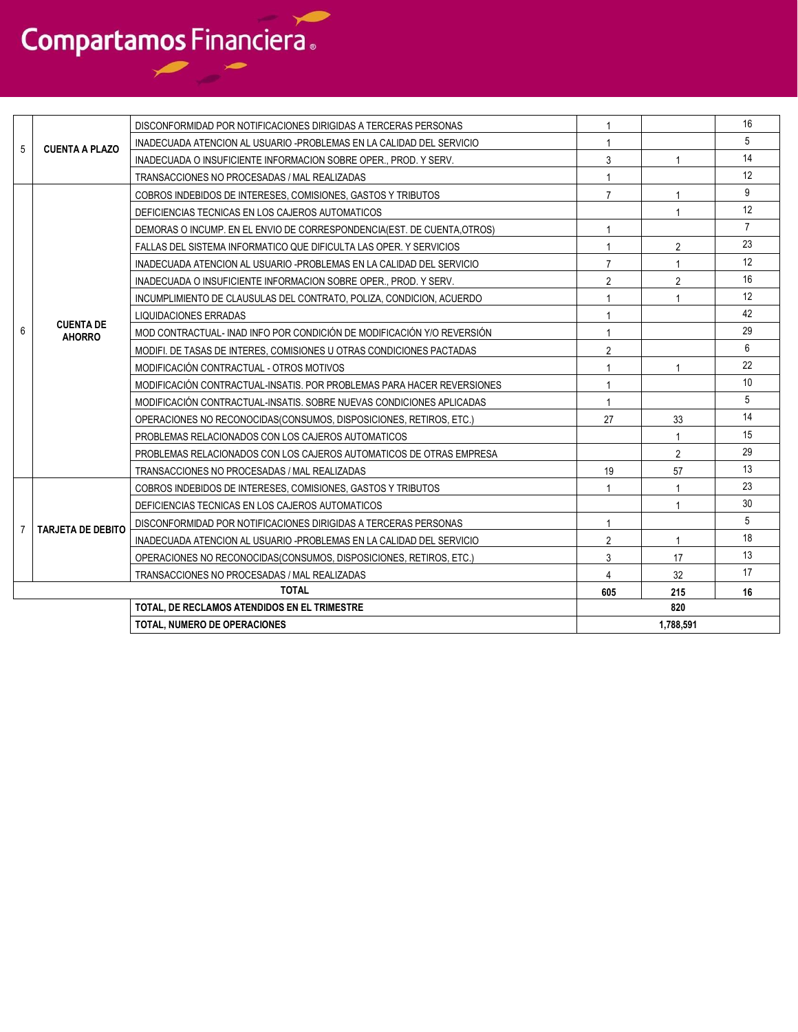|   |                                              | DISCONFORMIDAD POR NOTIFICACIONES DIRIGIDAS A TERCERAS PERSONAS         |                |                | 16             |  |  |
|---|----------------------------------------------|-------------------------------------------------------------------------|----------------|----------------|----------------|--|--|
| 5 | <b>CUENTA A PLAZO</b>                        | INADECUADA ATENCION AL USUARIO -PROBLEMAS EN LA CALIDAD DEL SERVICIO    |                |                | 5              |  |  |
|   |                                              | INADECUADA O INSUFICIENTE INFORMACION SOBRE OPER PROD. Y SERV.          | 3              |                | 14             |  |  |
|   |                                              | TRANSACCIONES NO PROCESADAS / MAL REALIZADAS                            |                |                | 12             |  |  |
|   |                                              | COBROS INDEBIDOS DE INTERESES, COMISIONES, GASTOS Y TRIBUTOS            | $\overline{7}$ |                | 9              |  |  |
|   |                                              | DEFICIENCIAS TECNICAS EN LOS CAJEROS AUTOMATICOS                        |                |                | 12             |  |  |
|   |                                              | DEMORAS O INCUMP. EN EL ENVIO DE CORRESPONDENCIA(EST. DE CUENTA, OTROS) | 1              |                | $\overline{7}$ |  |  |
|   |                                              | FALLAS DEL SISTEMA INFORMATICO QUE DIFICULTA LAS OPER. Y SERVICIOS      |                | $\overline{2}$ | 23             |  |  |
|   |                                              | INADECUADA ATENCION AL USUARIO -PROBLEMAS EN LA CALIDAD DEL SERVICIO    | $\overline{7}$ |                | 12             |  |  |
|   |                                              | INADECUADA O INSUFICIENTE INFORMACION SOBRE OPER PROD. Y SERV.          | $\overline{2}$ | $\overline{2}$ | 16             |  |  |
|   |                                              | INCUMPLIMIENTO DE CLAUSULAS DEL CONTRATO, POLIZA, CONDICION, ACUERDO    |                |                | 12             |  |  |
|   |                                              | LIQUIDACIONES ERRADAS                                                   |                |                | 42             |  |  |
| 6 | <b>CUENTA DE</b><br><b>AHORRO</b>            | MOD CONTRACTUAL- INAD INFO POR CONDICIÓN DE MODIFICACIÓN Y/O REVERSIÓN  |                |                | 29             |  |  |
|   |                                              | MODIFI. DE TASAS DE INTERES. COMISIONES U OTRAS CONDICIONES PACTADAS    | $\overline{2}$ |                | 6              |  |  |
|   |                                              | MODIFICACIÓN CONTRACTUAL - OTROS MOTIVOS                                |                |                | 22             |  |  |
|   |                                              | MODIFICACIÓN CONTRACTUAL-INSATIS, POR PROBLEMAS PARA HACER REVERSIONES  |                |                | 10             |  |  |
|   |                                              | MODIFICACIÓN CONTRACTUAL-INSATIS, SOBRE NUEVAS CONDICIONES APLICADAS    |                |                | 5              |  |  |
|   |                                              | OPERACIONES NO RECONOCIDAS (CONSUMOS, DISPOSICIONES, RETIROS, ETC.)     | 27             | 33             | 14             |  |  |
|   |                                              | PROBLEMAS RELACIONADOS CON LOS CAJEROS AUTOMATICOS                      |                | -1             | 15             |  |  |
|   |                                              | PROBLEMAS RELACIONADOS CON LOS CAJEROS AUTOMATICOS DE OTRAS EMPRESA     |                | $\overline{2}$ | 29             |  |  |
|   |                                              | TRANSACCIONES NO PROCESADAS / MAL REALIZADAS                            | 19             | 57             | 13             |  |  |
|   |                                              | COBROS INDEBIDOS DE INTERESES, COMISIONES, GASTOS Y TRIBUTOS            |                |                | 23             |  |  |
|   |                                              | DEFICIENCIAS TECNICAS EN LOS CAJEROS AUTOMATICOS                        |                |                | 30             |  |  |
| 7 | <b>TARJETA DE DEBITO</b>                     | DISCONFORMIDAD POR NOTIFICACIONES DIRIGIDAS A TERCERAS PERSONAS         | $\overline{1}$ |                | 5              |  |  |
|   |                                              | INADECUADA ATENCION AL USUARIO -PROBLEMAS EN LA CALIDAD DEL SERVICIO    | $\overline{2}$ |                | 18             |  |  |
|   |                                              | OPERACIONES NO RECONOCIDAS (CONSUMOS, DISPOSICIONES, RETIROS, ETC.)     | 3              | 17             | 13             |  |  |
|   |                                              | TRANSACCIONES NO PROCESADAS / MAL REALIZADAS                            | 4              | 32             | 17             |  |  |
|   |                                              | <b>TOTAL</b>                                                            | 605            | 215            | 16             |  |  |
|   | TOTAL, DE RECLAMOS ATENDIDOS EN EL TRIMESTRE |                                                                         |                | 820            |                |  |  |
|   | <b>TOTAL. NUMERO DE OPERACIONES</b>          |                                                                         |                | 1,788,591      |                |  |  |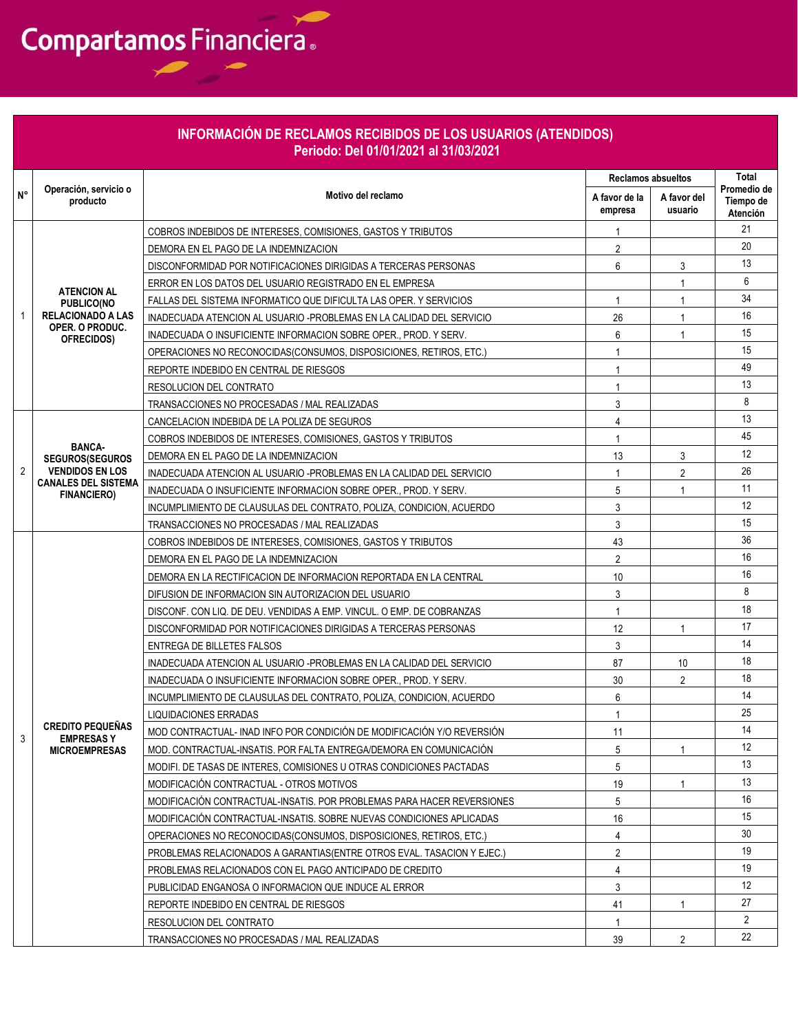|    |                                                  | INFORMACIÓN DE RECLAMOS RECIBIDOS DE LOS USUARIOS (ATENDIDOS)<br>Periodo: Del 01/01/2021 al 31/03/2021 |                           |                        |                                             |
|----|--------------------------------------------------|--------------------------------------------------------------------------------------------------------|---------------------------|------------------------|---------------------------------------------|
|    |                                                  |                                                                                                        | <b>Reclamos absueltos</b> |                        | Total                                       |
| N° | Operación, servicio o<br>producto                | Motivo del reclamo                                                                                     | A favor de la<br>empresa  | A favor del<br>usuario | Promedio de<br>Tiempo de<br><b>Atención</b> |
|    |                                                  | COBROS INDEBIDOS DE INTERESES, COMISIONES, GASTOS Y TRIBUTOS                                           | 1                         |                        | 21                                          |
|    |                                                  | DEMORA EN EL PAGO DE LA INDEMNIZACION                                                                  | $\overline{2}$            |                        | 20                                          |
|    |                                                  | DISCONFORMIDAD POR NOTIFICACIONES DIRIGIDAS A TERCERAS PERSONAS                                        | 6                         | 3                      | 13                                          |
|    | <b>ATENCION AL</b>                               | ERROR EN LOS DATOS DEL USUARIO REGISTRADO EN EL EMPRESA                                                |                           | 1                      | 6                                           |
|    | <b>PUBLICO(NO</b>                                | FALLAS DEL SISTEMA INFORMATICO QUE DIFICULTA LAS OPER. Y SERVICIOS                                     | 1                         | 1                      | 34                                          |
|    | <b>RELACIONADO A LAS</b><br>OPER. O PRODUC.      | INADECUADA ATENCION AL USUARIO -PROBLEMAS EN LA CALIDAD DEL SERVICIO                                   | 26                        | 1                      | 16                                          |
|    | OFRECIDOS)                                       | INADECUADA O INSUFICIENTE INFORMACION SOBRE OPER., PROD. Y SERV.                                       | 6                         | 1                      | 15                                          |
|    |                                                  | OPERACIONES NO RECONOCIDAS (CONSUMOS, DISPOSICIONES, RETIROS, ETC.)                                    | $\mathbf{1}$              |                        | 15                                          |
|    |                                                  | REPORTE INDEBIDO EN CENTRAL DE RIESGOS                                                                 | $\mathbf{1}$              |                        | 49                                          |
|    |                                                  | RESOLUCION DEL CONTRATO                                                                                | $\mathbf{1}$              |                        | 13                                          |
|    |                                                  | TRANSACCIONES NO PROCESADAS / MAL REALIZADAS                                                           | 3                         |                        | 8                                           |
|    |                                                  | CANCELACION INDEBIDA DE LA POLIZA DE SEGUROS                                                           | 4                         |                        | 13                                          |
|    | <b>BANCA-</b>                                    | COBROS INDEBIDOS DE INTERESES, COMISIONES, GASTOS Y TRIBUTOS                                           | $\mathbf{1}$              |                        | 45                                          |
|    | <b>SEGUROS(SEGUROS</b>                           | DEMORA EN EL PAGO DE LA INDEMNIZACION                                                                  | 13                        | 3                      | 12                                          |
| 2  | <b>VENDIDOS EN LOS</b>                           | INADECUADA ATENCION AL USUARIO -PROBLEMAS EN LA CALIDAD DEL SERVICIO                                   | $\mathbf{1}$              | $\overline{2}$         | 26                                          |
|    | <b>CANALES DEL SISTEMA</b><br><b>FINANCIERO)</b> | INADECUADA O INSUFICIENTE INFORMACION SOBRE OPER PROD. Y SERV.                                         | 5                         | 1                      | 11                                          |
|    |                                                  | INCUMPLIMIENTO DE CLAUSULAS DEL CONTRATO, POLIZA, CONDICION, ACUERDO                                   | 3                         |                        | 12                                          |
|    |                                                  | TRANSACCIONES NO PROCESADAS / MAL REALIZADAS                                                           | 3                         |                        | 15                                          |
|    |                                                  | COBROS INDEBIDOS DE INTERESES, COMISIONES, GASTOS Y TRIBUTOS                                           | 43                        |                        | 36                                          |
|    |                                                  | DEMORA EN EL PAGO DE LA INDEMNIZACION                                                                  | $\overline{2}$            |                        | 16                                          |
|    |                                                  | DEMORA EN LA RECTIFICACION DE INFORMACION REPORTADA EN LA CENTRAL                                      | 10                        |                        | 16                                          |
|    |                                                  | DIFUSION DE INFORMACION SIN AUTORIZACION DEL USUARIO                                                   | 3                         |                        | 8                                           |
|    |                                                  | DISCONF. CON LIQ. DE DEU. VENDIDAS A EMP. VINCUL. O EMP. DE COBRANZAS                                  | $\mathbf{1}$              |                        | 18                                          |
|    |                                                  | DISCONFORMIDAD POR NOTIFICACIONES DIRIGIDAS A TERCERAS PERSONAS                                        | 12                        | 1                      | 17                                          |
|    |                                                  | ENTREGA DE BILLETES FALSOS                                                                             | 3                         |                        | 14                                          |
|    |                                                  | INADECUADA ATENCION AL USUARIO -PROBLEMAS EN LA CALIDAD DEL SERVICIO                                   | 87                        | 10                     | 18                                          |
|    |                                                  | INADECUADA O INSUFICIENTE INFORMACION SOBRE OPER., PROD. Y SERV.                                       | 30                        | 2                      | 18                                          |
|    |                                                  | INCUMPLIMIENTO DE CLAUSULAS DEL CONTRATO, POLIZA, CONDICION, ACUERDO                                   | 6                         |                        | 14                                          |
|    |                                                  | <b>LIQUIDACIONES ERRADAS</b>                                                                           | $\mathbf{1}$              |                        | 25                                          |
| 3  | <b>CREDITO PEQUEÑAS</b><br><b>EMPRESASY</b>      | MOD CONTRACTUAL- INAD INFO POR CONDICIÓN DE MODIFICACIÓN Y/O REVERSIÓN                                 | 11                        |                        | 14                                          |
|    | <b>MICROEMPRESAS</b>                             | MOD. CONTRACTUAL-INSATIS. POR FALTA ENTREGA/DEMORA EN COMUNICACIÓN                                     | 5                         | 1                      | 12                                          |
|    |                                                  | MODIFI. DE TASAS DE INTERES, COMISIONES U OTRAS CONDICIONES PACTADAS                                   | 5                         |                        | 13                                          |
|    |                                                  | MODIFICACIÓN CONTRACTUAL - OTROS MOTIVOS                                                               | 19                        | $\mathbf{1}$           | 13                                          |
|    |                                                  | MODIFICACIÓN CONTRACTUAL-INSATIS. POR PROBLEMAS PARA HACER REVERSIONES                                 | 5                         |                        | 16                                          |
|    |                                                  | MODIFICACIÓN CONTRACTUAL-INSATIS, SOBRE NUEVAS CONDICIONES APLICADAS                                   | 16                        |                        | 15                                          |
|    |                                                  | OPERACIONES NO RECONOCIDAS(CONSUMOS, DISPOSICIONES, RETIROS, ETC.)                                     | 4                         |                        | 30                                          |
|    |                                                  | PROBLEMAS RELACIONADOS A GARANTIAS (ENTRE OTROS EVAL. TASACION Y EJEC.)                                | $\overline{2}$            |                        | 19                                          |
|    |                                                  | PROBLEMAS RELACIONADOS CON EL PAGO ANTICIPADO DE CREDITO                                               | 4                         |                        | 19                                          |
|    |                                                  | PUBLICIDAD ENGANOSA O INFORMACION QUE INDUCE AL ERROR                                                  | 3                         |                        | $12 \overline{ }$                           |
|    |                                                  | REPORTE INDEBIDO EN CENTRAL DE RIESGOS                                                                 | 41                        | 1                      | 27                                          |
|    |                                                  | RESOLUCION DEL CONTRATO                                                                                | $\mathbf{1}$              |                        | $\mathbf{2}$                                |
|    |                                                  | TRANSACCIONES NO PROCESADAS / MAL REALIZADAS                                                           | 39                        | $\overline{2}$         | 22                                          |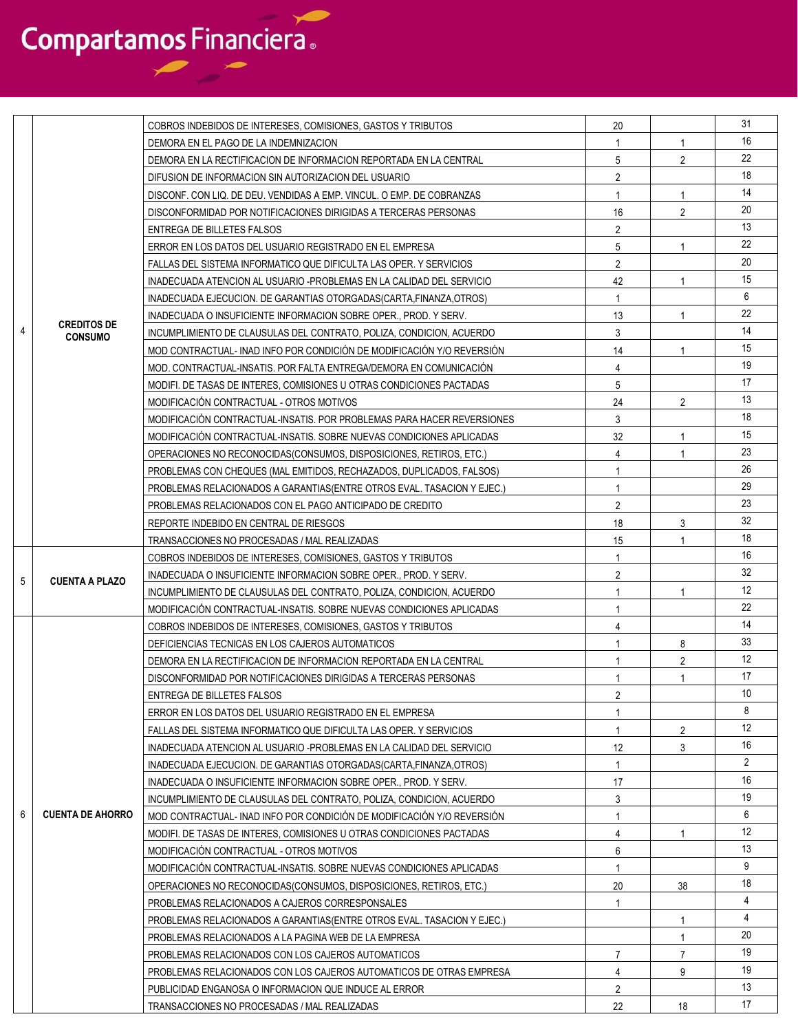|                |                                      | COBROS INDEBIDOS DE INTERESES, COMISIONES, GASTOS Y TRIBUTOS            | 20             |                | 31                |
|----------------|--------------------------------------|-------------------------------------------------------------------------|----------------|----------------|-------------------|
|                |                                      | DEMORA EN EL PAGO DE LA INDEMNIZACION                                   | 1              | $\mathbf{1}$   | 16                |
|                |                                      | DEMORA EN LA RECTIFICACION DE INFORMACION REPORTADA EN LA CENTRAL       | 5              | $\overline{2}$ | 22                |
|                |                                      | DIFUSION DE INFORMACION SIN AUTORIZACION DEL USUARIO                    | $\overline{2}$ |                | 18                |
|                |                                      | DISCONF. CON LIQ. DE DEU. VENDIDAS A EMP. VINCUL. O EMP. DE COBRANZAS   | 1              | 1              | 14                |
|                |                                      | DISCONFORMIDAD POR NOTIFICACIONES DIRIGIDAS A TERCERAS PERSONAS         | 16             | $\overline{2}$ | 20                |
|                |                                      | ENTREGA DE BILLETES FALSOS                                              | $\overline{2}$ |                | 13                |
|                |                                      | ERROR EN LOS DATOS DEL USUARIO REGISTRADO EN EL EMPRESA                 | 5              | 1              | 22                |
|                |                                      | FALLAS DEL SISTEMA INFORMATICO QUE DIFICULTA LAS OPER. Y SERVICIOS      | $\overline{2}$ |                | 20                |
|                |                                      | INADECUADA ATENCION AL USUARIO -PROBLEMAS EN LA CALIDAD DEL SERVICIO    | 42             | $\mathbf{1}$   | 15                |
|                |                                      | INADECUADA EJECUCION. DE GARANTIAS OTORGADAS (CARTA FINANZA OTROS)      | $\mathbf{1}$   |                | 6                 |
|                |                                      | INADECUADA O INSUFICIENTE INFORMACION SOBRE OPER., PROD. Y SERV.        | 13             | $\mathbf{1}$   | 22                |
| $\overline{4}$ | <b>CREDITOS DE</b><br><b>CONSUMO</b> | INCUMPLIMIENTO DE CLAUSULAS DEL CONTRATO, POLIZA, CONDICION, ACUERDO    | 3              |                | 14                |
|                |                                      | MOD CONTRACTUAL- INAD INFO POR CONDICIÓN DE MODIFICACIÓN Y/O REVERSIÓN  | 14             | 1              | 15                |
|                |                                      | MOD. CONTRACTUAL-INSATIS. POR FALTA ENTREGA/DEMORA EN COMUNICACIÓN      | 4              |                | 19                |
|                |                                      | MODIFI. DE TASAS DE INTERES. COMISIONES U OTRAS CONDICIONES PACTADAS    | 5              |                | 17                |
|                |                                      | MODIFICACIÓN CONTRACTUAL - OTROS MOTIVOS                                | 24             | $\overline{2}$ | 13                |
|                |                                      | MODIFICACION CONTRACTUAL-INSATIS. POR PROBLEMAS PARA HACER REVERSIONES  | 3              |                | 18                |
|                |                                      | MODIFICACION CONTRACTUAL-INSATIS. SOBRE NUEVAS CONDICIONES APLICADAS    | 32             | 1              | 15                |
|                |                                      | OPERACIONES NO RECONOCIDAS(CONSUMOS, DISPOSICIONES, RETIROS, ETC.)      | 4              |                | 23                |
|                |                                      | PROBLEMAS CON CHEQUES (MAL EMITIDOS, RECHAZADOS, DUPLICADOS, FALSOS)    | 1              |                | 26                |
|                |                                      | PROBLEMAS RELACIONADOS A GARANTIAS (ENTRE OTROS EVAL. TASACION Y EJEC.) |                |                | 29                |
|                |                                      | PROBLEMAS RELACIONADOS CON EL PAGO ANTICIPADO DE CREDITO                | $\overline{2}$ |                | 23                |
|                |                                      | REPORTE INDEBIDO EN CENTRAL DE RIESGOS                                  | 18             | 3              | 32                |
|                |                                      | TRANSACCIONES NO PROCESADAS / MAL REALIZADAS                            | 15             | $\overline{1}$ | 18                |
|                |                                      | COBROS INDEBIDOS DE INTERESES, COMISIONES, GASTOS Y TRIBUTOS            | 1              |                | 16                |
| 5              | <b>CUENTA A PLAZO</b>                | INADECUADA O INSUFICIENTE INFORMACION SOBRE OPER., PROD. Y SERV.        | 2              |                | 32                |
|                |                                      | INCUMPLIMIENTO DE CLAUSULAS DEL CONTRATO, POLIZA, CONDICION, ACUERDO    | $\mathbf{1}$   | $\mathbf{1}$   | $12 \overline{ }$ |
|                |                                      | MODIFICACION CONTRACTUAL-INSATIS. SOBRE NUEVAS CONDICIONES APLICADAS    | 1              |                | 22                |
|                |                                      | COBROS INDEBIDOS DE INTERESES, COMISIONES, GASTOS Y TRIBUTOS            | 4              |                | 14                |
|                |                                      | DEFICIENCIAS TECNICAS EN LOS CAJEROS AUTOMATICOS                        | 1              | 8              | 33                |
|                |                                      | DEMORA EN LA RECTIFICACION DE INFORMACION REPORTADA EN LA CENTRAL       |                | $\overline{2}$ | 12                |
|                |                                      | DISCONFORMIDAD POR NOTIFICACIONES DIRIGIDAS A TERCERAS PERSONAS         |                | -1             | 17                |
|                |                                      | ENTREGA DE BILLETES FALSOS                                              | 2              |                | 10                |
|                |                                      | ERROR EN LOS DATOS DEL USUARIO REGISTRADO EN EL EMPRESA                 | $\mathbf{1}$   |                | 8                 |
|                |                                      | FALLAS DEL SISTEMA INFORMATICO QUE DIFICULTA LAS OPER. Y SERVICIOS      | 1              | $\overline{2}$ | $12 \overline{ }$ |
|                |                                      | INADECUADA ATENCION AL USUARIO -PROBLEMAS EN LA CALIDAD DEL SERVICIO    | 12             | 3              | 16                |
|                |                                      | INADECUADA EJECUCION. DE GARANTIAS OTORGADAS (CARTA, FINANZA, OTROS)    | 1              |                | $\overline{2}$    |
|                |                                      | INADECUADA O INSUFICIENTE INFORMACION SOBRE OPER., PROD. Y SERV.        | 17             |                | 16                |
|                |                                      | INCUMPLIMIENTO DE CLAUSULAS DEL CONTRATO, POLIZA, CONDICION, ACUERDO    | 3              |                | 19                |
| 6              | <b>CUENTA DE AHORRO</b>              | MOD CONTRACTUAL- INAD INFO POR CONDICIÓN DE MODIFICACIÓN Y/O REVERSIÓN  | $\mathbf{1}$   |                | 6                 |
|                |                                      | MODIFI. DE TASAS DE INTERES, COMISIONES U OTRAS CONDICIONES PACTADAS    | $\overline{4}$ | $\mathbf{1}$   | 12                |
|                |                                      | MODIFICACIÓN CONTRACTUAL - OTROS MOTIVOS                                | 6              |                | 13                |
|                |                                      | MODIFICACIÓN CONTRACTUAL-INSATIS, SOBRE NUEVAS CONDICIONES APLICADAS    | 1              |                | 9                 |
|                |                                      | OPERACIONES NO RECONOCIDAS (CONSUMOS, DISPOSICIONES, RETIROS, ETC.)     | 20             | 38             | 18                |
|                |                                      | PROBLEMAS RELACIONADOS A CAJEROS CORRESPONSALES                         |                |                | 4                 |
|                |                                      | PROBLEMAS RELACIONADOS A GARANTIAS (ENTRE OTROS EVAL. TASACION Y EJEC.) |                | 1              | 4                 |
|                |                                      | PROBLEMAS RELACIONADOS A LA PAGINA WEB DE LA EMPRESA                    |                | $\mathbf{1}$   | 20                |
|                |                                      | PROBLEMAS RELACIONADOS CON LOS CAJEROS AUTOMATICOS                      | $\overline{7}$ | $\overline{7}$ | 19                |
|                |                                      | PROBLEMAS RELACIONADOS CON LOS CAJEROS AUTOMATICOS DE OTRAS EMPRESA     | $\overline{4}$ | 9              | 19                |
|                |                                      | PUBLICIDAD ENGANOSA O INFORMACION QUE INDUCE AL ERROR                   | $\overline{2}$ |                | 13                |
|                |                                      | TRANSACCIONES NO PROCESADAS / MAL REALIZADAS                            | 22             | 18             | 17                |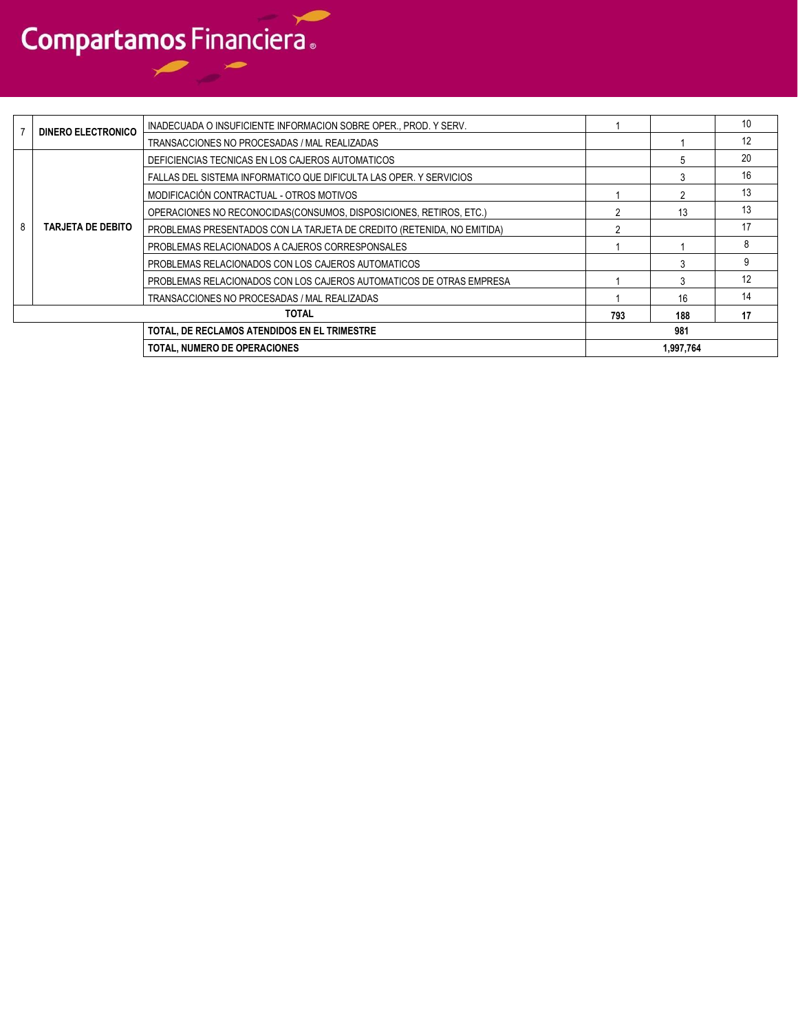|   | <b>DINERO ELECTRONICO</b> | INADECUADA O INSUFICIENTE INFORMACION SOBRE OPER., PROD. Y SERV.       |     |           | 10 |
|---|---------------------------|------------------------------------------------------------------------|-----|-----------|----|
|   |                           | TRANSACCIONES NO PROCESADAS / MAL REALIZADAS                           |     |           | 12 |
|   |                           | DEFICIENCIAS TECNICAS EN LOS CAJEROS AUTOMATICOS                       |     |           | 20 |
|   |                           | FALLAS DEL SISTEMA INFORMATICO QUE DIFICULTA LAS OPER. Y SERVICIOS     |     |           | 16 |
|   |                           | MODIFICACIÓN CONTRACTUAL - OTROS MOTIVOS                               |     |           | 13 |
|   | <b>TARJETA DE DEBITO</b>  | OPERACIONES NO RECONOCIDAS (CONSUMOS, DISPOSICIONES, RETIROS, ETC.)    |     | 13        | 13 |
| 8 |                           | PROBLEMAS PRESENTADOS CON LA TARJETA DE CREDITO (RETENIDA, NO EMITIDA) |     |           | 17 |
|   |                           | PROBLEMAS RELACIONADOS A CAJEROS CORRESPONSALES                        |     |           | 8  |
|   |                           | PROBLEMAS RELACIONADOS CON LOS CAJEROS AUTOMATICOS                     |     |           | g  |
|   |                           | PROBLEMAS RELACIONADOS CON LOS CAJEROS AUTOMATICOS DE OTRAS EMPRESA    |     |           | 12 |
|   |                           | TRANSACCIONES NO PROCESADAS / MAL REALIZADAS                           |     | 16        | 14 |
|   | <b>TOTAL</b>              |                                                                        | 793 | 188       | 17 |
|   |                           | TOTAL, DE RECLAMOS ATENDIDOS EN EL TRIMESTRE                           |     | 981       |    |
|   |                           | <b>TOTAL, NUMERO DE OPERACIONES</b>                                    |     | 1,997,764 |    |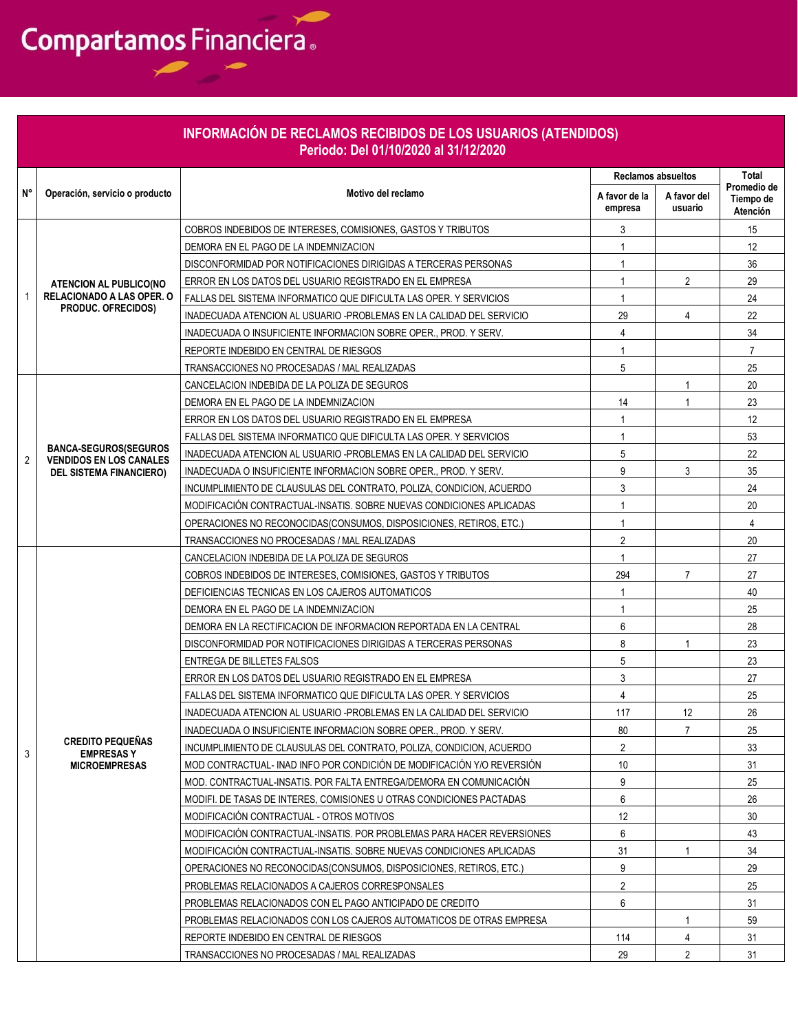|    | INFORMACIÓN DE RECLAMOS RECIBIDOS DE LOS USUARIOS (ATENDIDOS)<br>Periodo: Del 01/10/2020 al 31/12/2020 |                                                                                        |                           |                        |                                      |  |  |  |
|----|--------------------------------------------------------------------------------------------------------|----------------------------------------------------------------------------------------|---------------------------|------------------------|--------------------------------------|--|--|--|
| N° | Operación, servicio o producto                                                                         | Motivo del reclamo                                                                     | <b>Reclamos absueltos</b> |                        | <b>Total</b>                         |  |  |  |
|    |                                                                                                        |                                                                                        | A favor de la<br>empresa  | A favor del<br>usuario | Promedio de<br>Tiempo de<br>Atención |  |  |  |
|    | <b>ATENCION AL PUBLICO(NO</b><br><b>RELACIONADO A LAS OPER. O</b><br>PRODUC. OFRECIDOS)                | COBROS INDEBIDOS DE INTERESES, COMISIONES, GASTOS Y TRIBUTOS                           | 3                         |                        | 15                                   |  |  |  |
|    |                                                                                                        | DEMORA EN EL PAGO DE LA INDEMNIZACION                                                  | 1                         |                        | 12                                   |  |  |  |
|    |                                                                                                        | DISCONFORMIDAD POR NOTIFICACIONES DIRIGIDAS A TERCERAS PERSONAS                        |                           |                        | 36                                   |  |  |  |
|    |                                                                                                        | ERROR EN LOS DATOS DEL USUARIO REGISTRADO EN EL EMPRESA                                | 1                         | 2                      | 29                                   |  |  |  |
|    |                                                                                                        | FALLAS DEL SISTEMA INFORMATICO QUE DIFICULTA LAS OPER. Y SERVICIOS                     | $\overline{1}$            |                        | 24                                   |  |  |  |
|    |                                                                                                        | INADECUADA ATENCION AL USUARIO -PROBLEMAS EN LA CALIDAD DEL SERVICIO                   | 29                        | 4                      | 22                                   |  |  |  |
|    |                                                                                                        | INADECUADA O INSUFICIENTE INFORMACION SOBRE OPER., PROD. Y SERV.                       | 4                         |                        | 34                                   |  |  |  |
|    |                                                                                                        | REPORTE INDEBIDO EN CENTRAL DE RIESGOS                                                 | $\mathbf{1}$              |                        | $\overline{7}$                       |  |  |  |
|    |                                                                                                        | TRANSACCIONES NO PROCESADAS / MAL REALIZADAS                                           | 5                         |                        | 25                                   |  |  |  |
|    | <b>BANCA-SEGUROS(SEGUROS</b><br><b>VENDIDOS EN LOS CANALES</b><br><b>DEL SISTEMA FINANCIERO)</b>       | CANCELACION INDEBIDA DE LA POLIZA DE SEGUROS                                           |                           |                        | 20                                   |  |  |  |
|    |                                                                                                        | DEMORA EN EL PAGO DE LA INDEMNIZACION                                                  | 14                        | -1                     | 23                                   |  |  |  |
|    |                                                                                                        | ERROR EN LOS DATOS DEL USUARIO REGISTRADO EN EL EMPRESA                                | 1                         |                        | 12                                   |  |  |  |
|    |                                                                                                        | FALLAS DEL SISTEMA INFORMATICO QUE DIFICULTA LAS OPER. Y SERVICIOS                     | $\mathbf{1}$              |                        | 53                                   |  |  |  |
| 2  |                                                                                                        | INADECUADA ATENCION AL USUARIO -PROBLEMAS EN LA CALIDAD DEL SERVICIO                   | 5                         |                        | 22                                   |  |  |  |
|    |                                                                                                        | INADECUADA O INSUFICIENTE INFORMACION SOBRE OPER PROD. Y SERV.                         | 9                         | 3                      | 35                                   |  |  |  |
|    |                                                                                                        | INCUMPLIMIENTO DE CLAUSULAS DEL CONTRATO, POLIZA, CONDICION, ACUERDO                   | 3                         |                        | 24                                   |  |  |  |
|    |                                                                                                        | MODIFICACIÓN CONTRACTUAL-INSATIS. SOBRE NUEVAS CONDICIONES APLICADAS                   |                           |                        | 20                                   |  |  |  |
|    |                                                                                                        | OPERACIONES NO RECONOCIDAS (CONSUMOS, DISPOSICIONES, RETIROS, ETC.)                    | $\mathbf{1}$              |                        | 4                                    |  |  |  |
|    |                                                                                                        | TRANSACCIONES NO PROCESADAS / MAL REALIZADAS                                           | $\overline{2}$            |                        | 20                                   |  |  |  |
|    | <b>CREDITO PEQUEÑAS</b><br><b>EMPRESASY</b><br><b>MICROEMPRESAS</b>                                    | CANCELACION INDEBIDA DE LA POLIZA DE SEGUROS                                           | $\mathbf{1}$              |                        | 27                                   |  |  |  |
|    |                                                                                                        | COBROS INDEBIDOS DE INTERESES, COMISIONES, GASTOS Y TRIBUTOS                           | 294                       | $\overline{7}$         | 27                                   |  |  |  |
|    |                                                                                                        | DEFICIENCIAS TECNICAS EN LOS CAJEROS AUTOMATICOS                                       |                           |                        | 40                                   |  |  |  |
|    |                                                                                                        | DEMORA EN EL PAGO DE LA INDEMNIZACION                                                  | $\mathbf{1}$              |                        | 25                                   |  |  |  |
|    |                                                                                                        | DEMORA EN LA RECTIFICACION DE INFORMACION REPORTADA EN LA CENTRAL                      | 6                         |                        | 28                                   |  |  |  |
|    |                                                                                                        | DISCONFORMIDAD POR NOTIFICACIONES DIRIGIDAS A TERCERAS PERSONAS                        | 8                         | 1                      | 23                                   |  |  |  |
|    |                                                                                                        | ENTREGA DE BILLETES FALSOS                                                             | 5                         |                        | 23                                   |  |  |  |
|    |                                                                                                        | ERROR EN LOS DATOS DEL USUARIO REGISTRADO EN EL EMPRESA                                | 3                         |                        | 27                                   |  |  |  |
|    |                                                                                                        | FALLAS DEL SISTEMA INFORMATICO QUE DIFICULTA LAS OPER. Y SERVICIOS                     | 4                         |                        | 25                                   |  |  |  |
|    |                                                                                                        | INADECUADA ATENCION AL USUARIO -PROBLEMAS EN LA CALIDAD DEL SERVICIO                   | 117                       | 12                     | 26                                   |  |  |  |
|    |                                                                                                        | INADECUADA O INSUFICIENTE INFORMACION SOBRE OPER PROD. Y SERV.                         | 80                        | $\overline{7}$         | 25                                   |  |  |  |
| 3  |                                                                                                        | INCUMPLIMIENTO DE CLAUSULAS DEL CONTRATO, POLIZA, CONDICION, ACUERDO                   | $\overline{2}$            |                        | 33                                   |  |  |  |
|    |                                                                                                        | MOD CONTRACTUAL- INAD INFO POR CONDICIÓN DE MODIFICACIÓN Y/O REVERSIÓN                 | 10                        |                        | 31                                   |  |  |  |
|    |                                                                                                        | MOD. CONTRACTUAL-INSATIS. POR FALTA ENTREGA/DEMORA EN COMUNICACIÓN                     | 9                         |                        | 25                                   |  |  |  |
|    |                                                                                                        | MODIFI. DE TASAS DE INTERES, COMISIONES U OTRAS CONDICIONES PACTADAS                   | 6                         |                        | 26                                   |  |  |  |
|    |                                                                                                        | MODIFICACIÓN CONTRACTUAL - OTROS MOTIVOS                                               | 12                        |                        | 30                                   |  |  |  |
|    |                                                                                                        | MODIFICACIÓN CONTRACTUAL-INSATIS. POR PROBLEMAS PARA HACER REVERSIONES                 | 6                         |                        | 43                                   |  |  |  |
|    |                                                                                                        | MODIFICACIÓN CONTRACTUAL-INSATIS. SOBRE NUEVAS CONDICIONES APLICADAS                   | 31<br>9                   | 1                      | 34                                   |  |  |  |
|    |                                                                                                        | OPERACIONES NO RECONOCIDAS(CONSUMOS, DISPOSICIONES, RETIROS, ETC.)                     |                           |                        | 29                                   |  |  |  |
|    |                                                                                                        | PROBLEMAS RELACIONADOS A CAJEROS CORRESPONSALES                                        | $\mathbf{2}$<br>6         |                        | 25<br>31                             |  |  |  |
|    |                                                                                                        | PROBLEMAS RELACIONADOS CON EL PAGO ANTICIPADO DE CREDITO                               |                           | 1                      | 59                                   |  |  |  |
|    |                                                                                                        | PROBLEMAS RELACIONADOS CON LOS CAJEROS AUTOMATICOS DE OTRAS EMPRESA                    |                           | $\overline{4}$         | 31                                   |  |  |  |
|    |                                                                                                        | REPORTE INDEBIDO EN CENTRAL DE RIESGOS<br>TRANSACCIONES NO PROCESADAS / MAL REALIZADAS | 114                       |                        |                                      |  |  |  |
|    |                                                                                                        |                                                                                        | 29                        | 2                      | 31                                   |  |  |  |